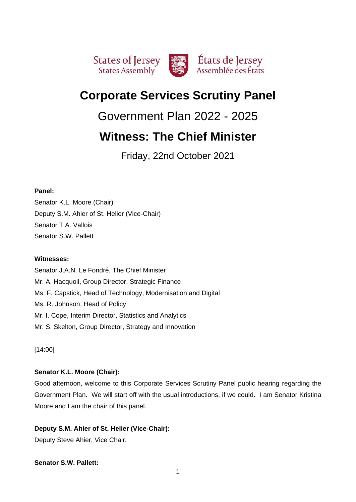

# **Corporate Services Scrutiny Panel**

# Government Plan 2022 - 2025

# **Witness: The Chief Minister**

Friday, 22nd October 2021

**Panel:**

Senator K.L. Moore (Chair) Deputy S.M. Ahier of St. Helier (Vice-Chair) Senator T.A. Vallois Senator S.W. Pallett

# **Witnesses:**

Senator J.A.N. Le Fondré, The Chief Minister Mr. A. Hacquoil, Group Director, Strategic Finance Ms. F. Capstick, Head of Technology, Modernisation and Digital Ms. R. Johnson, Head of Policy Mr. I. Cope, Interim Director, Statistics and Analytics Mr. S. Skelton, Group Director, Strategy and Innovation

[14:00]

# **Senator K.L. Moore (Chair):**

Good afternoon, welcome to this Corporate Services Scrutiny Panel public hearing regarding the Government Plan. We will start off with the usual introductions, if we could. I am Senator Kristina Moore and I am the chair of this panel.

# **Deputy S.M. Ahier of St. Helier (Vice-Chair):**

Deputy Steve Ahier, Vice Chair.

**Senator S.W. Pallett:**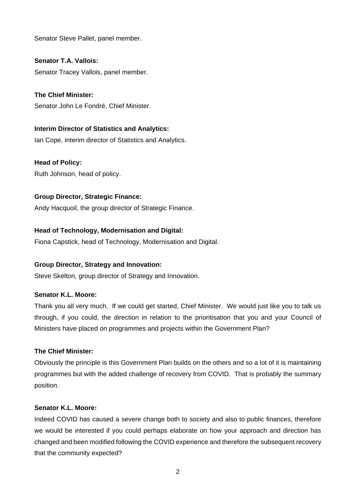Senator Steve Pallet, panel member.

**Senator T.A. Vallois:** Senator Tracey Vallois, panel member.

# **The Chief Minister:**

Senator John Le Fondré, Chief Minister.

# **Interim Director of Statistics and Analytics:**

Ian Cope, interim director of Statistics and Analytics.

**Head of Policy:** Ruth Johnson, head of policy.

# **Group Director, Strategic Finance:**

Andy Hacquoil, the group director of Strategic Finance.

# **Head of Technology, Modernisation and Digital:**

Fiona Capstick, head of Technology, Modernisation and Digital.

## **Group Director, Strategy and Innovation:**

Steve Skelton, group director of Strategy and Innovation.

## **Senator K.L. Moore:**

Thank you all very much. If we could get started, Chief Minister. We would just like you to talk us through, if you could, the direction in relation to the prioritisation that you and your Council of Ministers have placed on programmes and projects within the Government Plan?

# **The Chief Minister:**

Obviously the principle is this Government Plan builds on the others and so a lot of it is maintaining programmes but with the added challenge of recovery from COVID. That is probably the summary position.

# **Senator K.L. Moore:**

Indeed COVID has caused a severe change both to society and also to public finances, therefore we would be interested if you could perhaps elaborate on how your approach and direction has changed and been modified following the COVID experience and therefore the subsequent recovery that the community expected?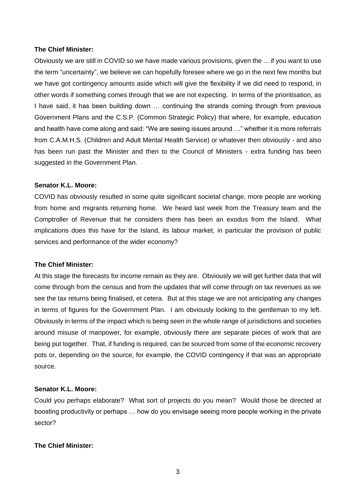## **The Chief Minister:**

Obviously we are still in COVID so we have made various provisions, given the ... if you want to use the term "uncertainty", we believe we can hopefully foresee where we go in the next few months but we have got contingency amounts aside which will give the flexibility if we did need to respond, in other words if something comes through that we are not expecting. In terms of the prioritisation, as I have said, it has been building down … continuing the strands coming through from previous Government Plans and the C.S.P. (Common Strategic Policy) that where, for example, education and health have come along and said: "We are seeing issues around …" whether it is more referrals from C.A.M.H.S. (Children and Adult Mental Health Service) or whatever then obviously - and also has been run past the Minister and then to the Council of Ministers - extra funding has been suggested in the Government Plan.

#### **Senator K.L. Moore:**

COVID has obviously resulted in some quite significant societal change, more people are working from home and migrants returning home. We heard last week from the Treasury team and the Comptroller of Revenue that he considers there has been an exodus from the Island. What implications does this have for the Island, its labour market, in particular the provision of public services and performance of the wider economy?

## **The Chief Minister:**

At this stage the forecasts for income remain as they are. Obviously we will get further data that will come through from the census and from the updates that will come through on tax revenues as we see the tax returns being finalised, et cetera. But at this stage we are not anticipating any changes in terms of figures for the Government Plan. I am obviously looking to the gentleman to my left. Obviously in terms of the impact which is being seen in the whole range of jurisdictions and societies around misuse of manpower, for example, obviously there are separate pieces of work that are being put together. That, if funding is required, can be sourced from some of the economic recovery pots or, depending on the source, for example, the COVID contingency if that was an appropriate source.

# **Senator K.L. Moore:**

Could you perhaps elaborate? What sort of projects do you mean? Would those be directed at boosting productivity or perhaps … how do you envisage seeing more people working in the private sector?

#### **The Chief Minister:**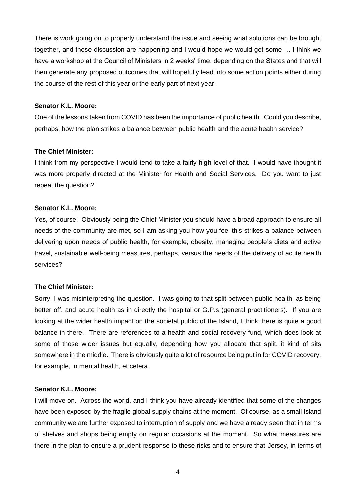There is work going on to properly understand the issue and seeing what solutions can be brought together, and those discussion are happening and I would hope we would get some … I think we have a workshop at the Council of Ministers in 2 weeks' time, depending on the States and that will then generate any proposed outcomes that will hopefully lead into some action points either during the course of the rest of this year or the early part of next year.

## **Senator K.L. Moore:**

One of the lessons taken from COVID has been the importance of public health. Could you describe, perhaps, how the plan strikes a balance between public health and the acute health service?

#### **The Chief Minister:**

I think from my perspective I would tend to take a fairly high level of that. I would have thought it was more properly directed at the Minister for Health and Social Services. Do you want to just repeat the question?

#### **Senator K.L. Moore:**

Yes, of course. Obviously being the Chief Minister you should have a broad approach to ensure all needs of the community are met, so I am asking you how you feel this strikes a balance between delivering upon needs of public health, for example, obesity, managing people's diets and active travel, sustainable well-being measures, perhaps, versus the needs of the delivery of acute health services?

## **The Chief Minister:**

Sorry, I was misinterpreting the question. I was going to that split between public health, as being better off, and acute health as in directly the hospital or G.P.s (general practitioners). If you are looking at the wider health impact on the societal public of the Island, I think there is quite a good balance in there. There are references to a health and social recovery fund, which does look at some of those wider issues but equally, depending how you allocate that split, it kind of sits somewhere in the middle. There is obviously quite a lot of resource being put in for COVID recovery, for example, in mental health, et cetera.

# **Senator K.L. Moore:**

I will move on. Across the world, and I think you have already identified that some of the changes have been exposed by the fragile global supply chains at the moment. Of course, as a small Island community we are further exposed to interruption of supply and we have already seen that in terms of shelves and shops being empty on regular occasions at the moment. So what measures are there in the plan to ensure a prudent response to these risks and to ensure that Jersey, in terms of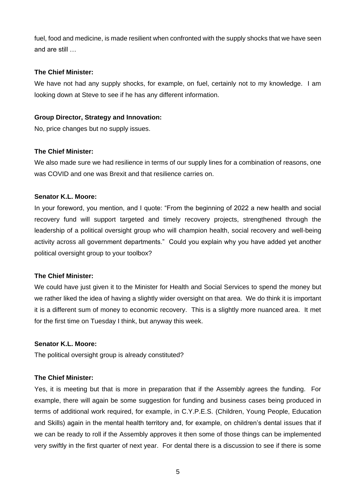fuel, food and medicine, is made resilient when confronted with the supply shocks that we have seen and are still …

# **The Chief Minister:**

We have not had any supply shocks, for example, on fuel, certainly not to my knowledge. I am looking down at Steve to see if he has any different information.

# **Group Director, Strategy and Innovation:**

No, price changes but no supply issues.

# **The Chief Minister:**

We also made sure we had resilience in terms of our supply lines for a combination of reasons, one was COVID and one was Brexit and that resilience carries on.

# **Senator K.L. Moore:**

In your foreword, you mention, and I quote: "From the beginning of 2022 a new health and social recovery fund will support targeted and timely recovery projects, strengthened through the leadership of a political oversight group who will champion health, social recovery and well-being activity across all government departments." Could you explain why you have added yet another political oversight group to your toolbox?

# **The Chief Minister:**

We could have just given it to the Minister for Health and Social Services to spend the money but we rather liked the idea of having a slightly wider oversight on that area. We do think it is important it is a different sum of money to economic recovery. This is a slightly more nuanced area. It met for the first time on Tuesday I think, but anyway this week.

# **Senator K.L. Moore:**

The political oversight group is already constituted?

# **The Chief Minister:**

Yes, it is meeting but that is more in preparation that if the Assembly agrees the funding. For example, there will again be some suggestion for funding and business cases being produced in terms of additional work required, for example, in C.Y.P.E.S. (Children, Young People, Education and Skills) again in the mental health territory and, for example, on children's dental issues that if we can be ready to roll if the Assembly approves it then some of those things can be implemented very swiftly in the first quarter of next year. For dental there is a discussion to see if there is some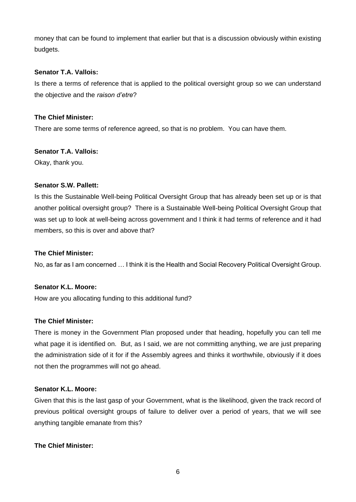money that can be found to implement that earlier but that is a discussion obviously within existing budgets.

# **Senator T.A. Vallois:**

Is there a terms of reference that is applied to the political oversight group so we can understand the objective and the *raison d'etre*?

# **The Chief Minister:**

There are some terms of reference agreed, so that is no problem. You can have them.

# **Senator T.A. Vallois:**

Okay, thank you.

# **Senator S.W. Pallett:**

Is this the Sustainable Well-being Political Oversight Group that has already been set up or is that another political oversight group? There is a Sustainable Well-being Political Oversight Group that was set up to look at well-being across government and I think it had terms of reference and it had members, so this is over and above that?

# **The Chief Minister:**

No, as far as I am concerned … I think it is the Health and Social Recovery Political Oversight Group.

## **Senator K.L. Moore:**

How are you allocating funding to this additional fund?

# **The Chief Minister:**

There is money in the Government Plan proposed under that heading, hopefully you can tell me what page it is identified on. But, as I said, we are not committing anything, we are just preparing the administration side of it for if the Assembly agrees and thinks it worthwhile, obviously if it does not then the programmes will not go ahead.

# **Senator K.L. Moore:**

Given that this is the last gasp of your Government, what is the likelihood, given the track record of previous political oversight groups of failure to deliver over a period of years, that we will see anything tangible emanate from this?

# **The Chief Minister:**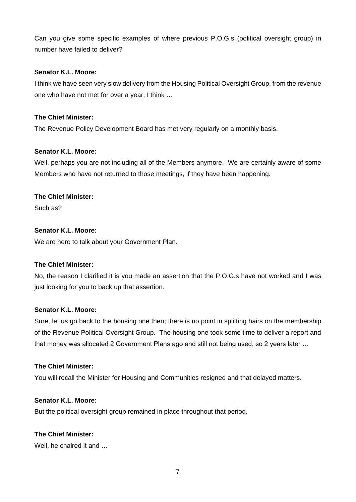Can you give some specific examples of where previous P.O.G.s (political oversight group) in number have failed to deliver?

# **Senator K.L. Moore:**

I think we have seen very slow delivery from the Housing Political Oversight Group, from the revenue one who have not met for over a year, I think …

# **The Chief Minister:**

The Revenue Policy Development Board has met very regularly on a monthly basis.

# **Senator K.L. Moore:**

Well, perhaps you are not including all of the Members anymore. We are certainly aware of some Members who have not returned to those meetings, if they have been happening.

# **The Chief Minister:**

Such as?

# **Senator K.L. Moore:**

We are here to talk about your Government Plan.

## **The Chief Minister:**

No, the reason I clarified it is you made an assertion that the P.O.G.s have not worked and I was just looking for you to back up that assertion.

# **Senator K.L. Moore:**

Sure, let us go back to the housing one then; there is no point in splitting hairs on the membership of the Revenue Political Oversight Group. The housing one took some time to deliver a report and that money was allocated 2 Government Plans ago and still not being used, so 2 years later …

# **The Chief Minister:**

You will recall the Minister for Housing and Communities resigned and that delayed matters.

## **Senator K.L. Moore:**

But the political oversight group remained in place throughout that period.

# **The Chief Minister:**

Well, he chaired it and …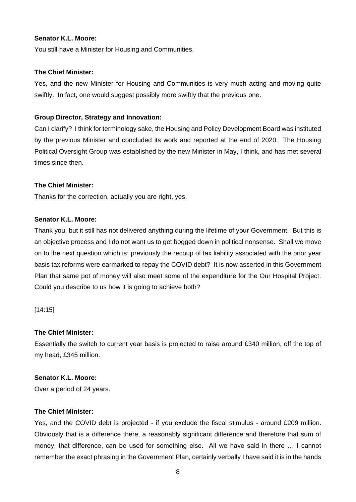## **Senator K.L. Moore:**

You still have a Minister for Housing and Communities.

# **The Chief Minister:**

Yes, and the new Minister for Housing and Communities is very much acting and moving quite swiftly. In fact, one would suggest possibly more swiftly that the previous one.

# **Group Director, Strategy and Innovation:**

Can I clarify? I think for terminology sake, the Housing and Policy Development Board was instituted by the previous Minister and concluded its work and reported at the end of 2020. The Housing Political Oversight Group was established by the new Minister in May, I think, and has met several times since then.

# **The Chief Minister:**

Thanks for the correction, actually you are right, yes.

# **Senator K.L. Moore:**

Thank you, but it still has not delivered anything during the lifetime of your Government. But this is an objective process and I do not want us to get bogged down in political nonsense. Shall we move on to the next question which is: previously the recoup of tax liability associated with the prior year basis tax reforms were earmarked to repay the COVID debt? It is now asserted in this Government Plan that same pot of money will also meet some of the expenditure for the Our Hospital Project. Could you describe to us how it is going to achieve both?

[14:15]

# **The Chief Minister:**

Essentially the switch to current year basis is projected to raise around £340 million, off the top of my head, £345 million.

# **Senator K.L. Moore:**

Over a period of 24 years.

## **The Chief Minister:**

Yes, and the COVID debt is projected - if you exclude the fiscal stimulus - around £209 million. Obviously that is a difference there, a reasonably significant difference and therefore that sum of money, that difference, can be used for something else. All we have said in there … I cannot remember the exact phrasing in the Government Plan, certainly verbally I have said it is in the hands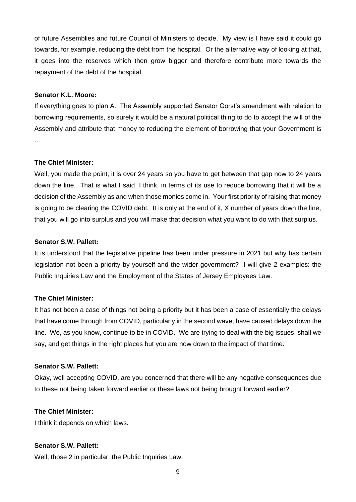of future Assemblies and future Council of Ministers to decide. My view is I have said it could go towards, for example, reducing the debt from the hospital. Or the alternative way of looking at that, it goes into the reserves which then grow bigger and therefore contribute more towards the repayment of the debt of the hospital.

## **Senator K.L. Moore:**

If everything goes to plan A. The Assembly supported Senator Gorst's amendment with relation to borrowing requirements, so surely it would be a natural political thing to do to accept the will of the Assembly and attribute that money to reducing the element of borrowing that your Government is …

### **The Chief Minister:**

Well, you made the point, it is over 24 years so you have to get between that gap now to 24 years down the line. That is what I said, I think, in terms of its use to reduce borrowing that it will be a decision of the Assembly as and when those monies come in. Your first priority of raising that money is going to be clearing the COVID debt. It is only at the end of it, X number of years down the line, that you will go into surplus and you will make that decision what you want to do with that surplus.

## **Senator S.W. Pallett:**

It is understood that the legislative pipeline has been under pressure in 2021 but why has certain legislation not been a priority by yourself and the wider government? I will give 2 examples: the Public Inquiries Law and the Employment of the States of Jersey Employees Law.

# **The Chief Minister:**

It has not been a case of things not being a priority but it has been a case of essentially the delays that have come through from COVID, particularly in the second wave, have caused delays down the line. We, as you know, continue to be in COVID. We are trying to deal with the big issues, shall we say, and get things in the right places but you are now down to the impact of that time.

## **Senator S.W. Pallett:**

Okay, well accepting COVID, are you concerned that there will be any negative consequences due to these not being taken forward earlier or these laws not being brought forward earlier?

#### **The Chief Minister:**

I think it depends on which laws.

#### **Senator S.W. Pallett:**

Well, those 2 in particular, the Public Inquiries Law.

9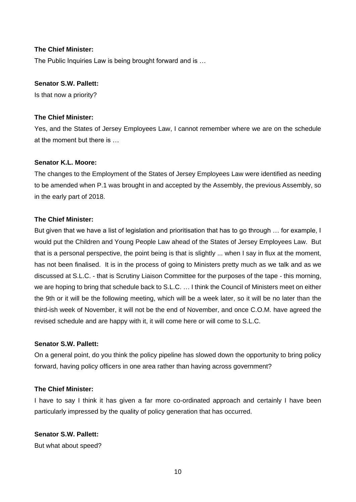# **The Chief Minister:**

The Public Inquiries Law is being brought forward and is …

## **Senator S.W. Pallett:**

Is that now a priority?

# **The Chief Minister:**

Yes, and the States of Jersey Employees Law, I cannot remember where we are on the schedule at the moment but there is …

# **Senator K.L. Moore:**

The changes to the Employment of the States of Jersey Employees Law were identified as needing to be amended when P.1 was brought in and accepted by the Assembly, the previous Assembly, so in the early part of 2018.

# **The Chief Minister:**

But given that we have a list of legislation and prioritisation that has to go through … for example, I would put the Children and Young People Law ahead of the States of Jersey Employees Law. But that is a personal perspective, the point being is that is slightly ... when I say in flux at the moment, has not been finalised. It is in the process of going to Ministers pretty much as we talk and as we discussed at S.L.C. - that is Scrutiny Liaison Committee for the purposes of the tape - this morning, we are hoping to bring that schedule back to S.L.C. … I think the Council of Ministers meet on either the 9th or it will be the following meeting, which will be a week later, so it will be no later than the third-ish week of November, it will not be the end of November, and once C.O.M. have agreed the revised schedule and are happy with it, it will come here or will come to S.L.C.

# **Senator S.W. Pallett:**

On a general point, do you think the policy pipeline has slowed down the opportunity to bring policy forward, having policy officers in one area rather than having across government?

# **The Chief Minister:**

I have to say I think it has given a far more co-ordinated approach and certainly I have been particularly impressed by the quality of policy generation that has occurred.

## **Senator S.W. Pallett:**

But what about speed?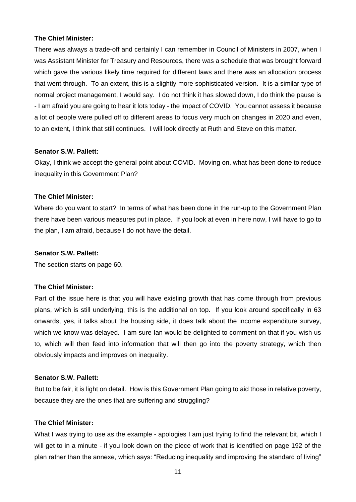#### **The Chief Minister:**

There was always a trade-off and certainly I can remember in Council of Ministers in 2007, when I was Assistant Minister for Treasury and Resources, there was a schedule that was brought forward which gave the various likely time required for different laws and there was an allocation process that went through. To an extent, this is a slightly more sophisticated version. It is a similar type of normal project management, I would say. I do not think it has slowed down, I do think the pause is - I am afraid you are going to hear it lots today - the impact of COVID. You cannot assess it because a lot of people were pulled off to different areas to focus very much on changes in 2020 and even, to an extent, I think that still continues. I will look directly at Ruth and Steve on this matter.

#### **Senator S.W. Pallett:**

Okay, I think we accept the general point about COVID. Moving on, what has been done to reduce inequality in this Government Plan?

#### **The Chief Minister:**

Where do you want to start? In terms of what has been done in the run-up to the Government Plan there have been various measures put in place. If you look at even in here now, I will have to go to the plan, I am afraid, because I do not have the detail.

#### **Senator S.W. Pallett:**

The section starts on page 60.

# **The Chief Minister:**

Part of the issue here is that you will have existing growth that has come through from previous plans, which is still underlying, this is the additional on top. If you look around specifically in 63 onwards, yes, it talks about the housing side, it does talk about the income expenditure survey, which we know was delayed. I am sure Ian would be delighted to comment on that if you wish us to, which will then feed into information that will then go into the poverty strategy, which then obviously impacts and improves on inequality.

# **Senator S.W. Pallett:**

But to be fair, it is light on detail. How is this Government Plan going to aid those in relative poverty, because they are the ones that are suffering and struggling?

# **The Chief Minister:**

What I was trying to use as the example - apologies I am just trying to find the relevant bit, which I will get to in a minute - if you look down on the piece of work that is identified on page 192 of the plan rather than the annexe, which says: "Reducing inequality and improving the standard of living"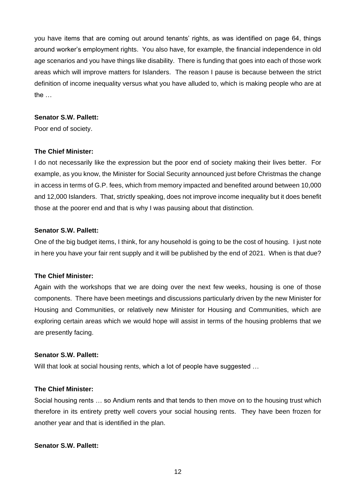you have items that are coming out around tenants' rights, as was identified on page 64, things around worker's employment rights. You also have, for example, the financial independence in old age scenarios and you have things like disability. There is funding that goes into each of those work areas which will improve matters for Islanders. The reason I pause is because between the strict definition of income inequality versus what you have alluded to, which is making people who are at the …

#### **Senator S.W. Pallett:**

Poor end of society.

#### **The Chief Minister:**

I do not necessarily like the expression but the poor end of society making their lives better. For example, as you know, the Minister for Social Security announced just before Christmas the change in access in terms of G.P. fees, which from memory impacted and benefited around between 10,000 and 12,000 Islanders. That, strictly speaking, does not improve income inequality but it does benefit those at the poorer end and that is why I was pausing about that distinction.

#### **Senator S.W. Pallett:**

One of the big budget items, I think, for any household is going to be the cost of housing. I just note in here you have your fair rent supply and it will be published by the end of 2021. When is that due?

#### **The Chief Minister:**

Again with the workshops that we are doing over the next few weeks, housing is one of those components. There have been meetings and discussions particularly driven by the new Minister for Housing and Communities, or relatively new Minister for Housing and Communities, which are exploring certain areas which we would hope will assist in terms of the housing problems that we are presently facing.

#### **Senator S.W. Pallett:**

Will that look at social housing rents, which a lot of people have suggested …

# **The Chief Minister:**

Social housing rents … so Andium rents and that tends to then move on to the housing trust which therefore in its entirety pretty well covers your social housing rents. They have been frozen for another year and that is identified in the plan.

# **Senator S.W. Pallett:**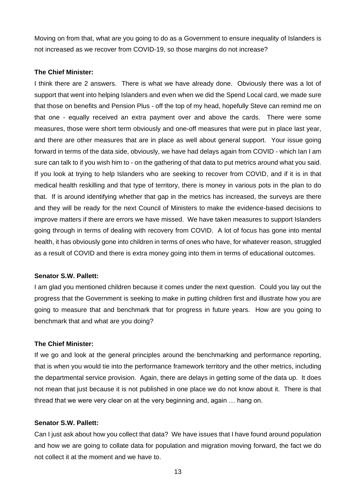Moving on from that, what are you going to do as a Government to ensure inequality of Islanders is not increased as we recover from COVID-19, so those margins do not increase?

#### **The Chief Minister:**

I think there are 2 answers. There is what we have already done. Obviously there was a lot of support that went into helping Islanders and even when we did the Spend Local card, we made sure that those on benefits and Pension Plus - off the top of my head, hopefully Steve can remind me on that one - equally received an extra payment over and above the cards. There were some measures, those were short term obviously and one-off measures that were put in place last year, and there are other measures that are in place as well about general support. Your issue going forward in terms of the data side, obviously, we have had delays again from COVID - which Ian I am sure can talk to if you wish him to - on the gathering of that data to put metrics around what you said. If you look at trying to help Islanders who are seeking to recover from COVID, and if it is in that medical health reskilling and that type of territory, there is money in various pots in the plan to do that. If is around identifying whether that gap in the metrics has increased, the surveys are there and they will be ready for the next Council of Ministers to make the evidence-based decisions to improve matters if there are errors we have missed. We have taken measures to support Islanders going through in terms of dealing with recovery from COVID. A lot of focus has gone into mental health, it has obviously gone into children in terms of ones who have, for whatever reason, struggled as a result of COVID and there is extra money going into them in terms of educational outcomes.

## **Senator S.W. Pallett:**

I am glad you mentioned children because it comes under the next question. Could you lay out the progress that the Government is seeking to make in putting children first and illustrate how you are going to measure that and benchmark that for progress in future years. How are you going to benchmark that and what are you doing?

## **The Chief Minister:**

If we go and look at the general principles around the benchmarking and performance reporting, that is when you would tie into the performance framework territory and the other metrics, including the departmental service provision. Again, there are delays in getting some of the data up. It does not mean that just because it is not published in one place we do not know about it. There is that thread that we were very clear on at the very beginning and, again … hang on.

#### **Senator S.W. Pallett:**

Can I just ask about how you collect that data? We have issues that I have found around population and how we are going to collate data for population and migration moving forward, the fact we do not collect it at the moment and we have to.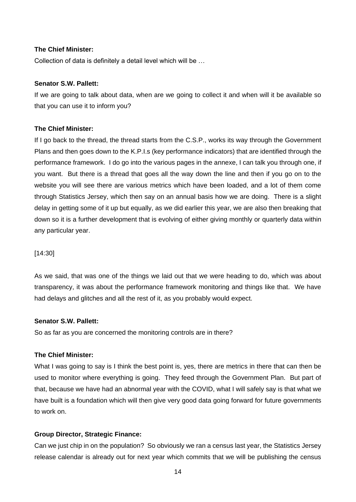# **The Chief Minister:**

Collection of data is definitely a detail level which will be …

#### **Senator S.W. Pallett:**

If we are going to talk about data, when are we going to collect it and when will it be available so that you can use it to inform you?

# **The Chief Minister:**

If I go back to the thread, the thread starts from the C.S.P., works its way through the Government Plans and then goes down to the K.P.I.s (key performance indicators) that are identified through the performance framework. I do go into the various pages in the annexe, I can talk you through one, if you want. But there is a thread that goes all the way down the line and then if you go on to the website you will see there are various metrics which have been loaded, and a lot of them come through Statistics Jersey, which then say on an annual basis how we are doing. There is a slight delay in getting some of it up but equally, as we did earlier this year, we are also then breaking that down so it is a further development that is evolving of either giving monthly or quarterly data within any particular year.

# [14:30]

As we said, that was one of the things we laid out that we were heading to do, which was about transparency, it was about the performance framework monitoring and things like that. We have had delays and glitches and all the rest of it, as you probably would expect.

#### **Senator S.W. Pallett:**

So as far as you are concerned the monitoring controls are in there?

## **The Chief Minister:**

What I was going to say is I think the best point is, yes, there are metrics in there that can then be used to monitor where everything is going. They feed through the Government Plan. But part of that, because we have had an abnormal year with the COVID, what I will safely say is that what we have built is a foundation which will then give very good data going forward for future governments to work on.

## **Group Director, Strategic Finance:**

Can we just chip in on the population? So obviously we ran a census last year, the Statistics Jersey release calendar is already out for next year which commits that we will be publishing the census

14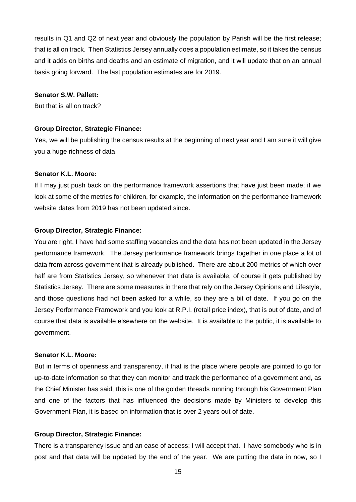results in Q1 and Q2 of next year and obviously the population by Parish will be the first release; that is all on track. Then Statistics Jersey annually does a population estimate, so it takes the census and it adds on births and deaths and an estimate of migration, and it will update that on an annual basis going forward. The last population estimates are for 2019.

# **Senator S.W. Pallett:**

But that is all on track?

#### **Group Director, Strategic Finance:**

Yes, we will be publishing the census results at the beginning of next year and I am sure it will give you a huge richness of data.

#### **Senator K.L. Moore:**

If I may just push back on the performance framework assertions that have just been made; if we look at some of the metrics for children, for example, the information on the performance framework website dates from 2019 has not been updated since.

#### **Group Director, Strategic Finance:**

You are right, I have had some staffing vacancies and the data has not been updated in the Jersey performance framework. The Jersey performance framework brings together in one place a lot of data from across government that is already published. There are about 200 metrics of which over half are from Statistics Jersey, so whenever that data is available, of course it gets published by Statistics Jersey. There are some measures in there that rely on the Jersey Opinions and Lifestyle, and those questions had not been asked for a while, so they are a bit of date. If you go on the Jersey Performance Framework and you look at R.P.I. (retail price index), that is out of date, and of course that data is available elsewhere on the website. It is available to the public, it is available to government.

## **Senator K.L. Moore:**

But in terms of openness and transparency, if that is the place where people are pointed to go for up-to-date information so that they can monitor and track the performance of a government and, as the Chief Minister has said, this is one of the golden threads running through his Government Plan and one of the factors that has influenced the decisions made by Ministers to develop this Government Plan, it is based on information that is over 2 years out of date.

#### **Group Director, Strategic Finance:**

There is a transparency issue and an ease of access; I will accept that. I have somebody who is in post and that data will be updated by the end of the year. We are putting the data in now, so I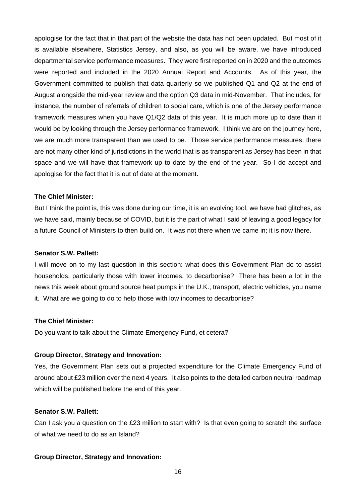apologise for the fact that in that part of the website the data has not been updated. But most of it is available elsewhere, Statistics Jersey, and also, as you will be aware, we have introduced departmental service performance measures. They were first reported on in 2020 and the outcomes were reported and included in the 2020 Annual Report and Accounts. As of this year, the Government committed to publish that data quarterly so we published Q1 and Q2 at the end of August alongside the mid-year review and the option Q3 data in mid-November. That includes, for instance, the number of referrals of children to social care, which is one of the Jersey performance framework measures when you have Q1/Q2 data of this year. It is much more up to date than it would be by looking through the Jersey performance framework. I think we are on the journey here, we are much more transparent than we used to be. Those service performance measures, there are not many other kind of jurisdictions in the world that is as transparent as Jersey has been in that space and we will have that framework up to date by the end of the year. So I do accept and apologise for the fact that it is out of date at the moment.

## **The Chief Minister:**

But I think the point is, this was done during our time, it is an evolving tool, we have had glitches, as we have said, mainly because of COVID, but it is the part of what I said of leaving a good legacy for a future Council of Ministers to then build on. It was not there when we came in; it is now there.

## **Senator S.W. Pallett:**

I will move on to my last question in this section: what does this Government Plan do to assist households, particularly those with lower incomes, to decarbonise? There has been a lot in the news this week about ground source heat pumps in the U.K., transport, electric vehicles, you name it. What are we going to do to help those with low incomes to decarbonise?

#### **The Chief Minister:**

Do you want to talk about the Climate Emergency Fund, et cetera?

#### **Group Director, Strategy and Innovation:**

Yes, the Government Plan sets out a projected expenditure for the Climate Emergency Fund of around about £23 million over the next 4 years. It also points to the detailed carbon neutral roadmap which will be published before the end of this year.

## **Senator S.W. Pallett:**

Can I ask you a question on the £23 million to start with? Is that even going to scratch the surface of what we need to do as an Island?

#### **Group Director, Strategy and Innovation:**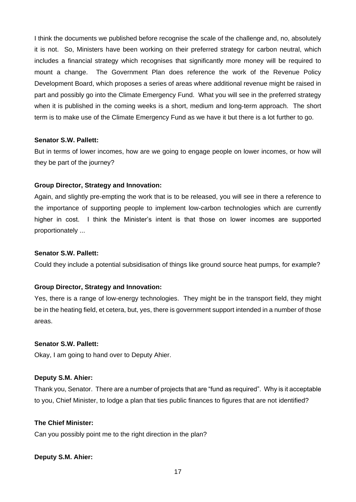I think the documents we published before recognise the scale of the challenge and, no, absolutely it is not. So, Ministers have been working on their preferred strategy for carbon neutral, which includes a financial strategy which recognises that significantly more money will be required to mount a change. The Government Plan does reference the work of the Revenue Policy Development Board, which proposes a series of areas where additional revenue might be raised in part and possibly go into the Climate Emergency Fund. What you will see in the preferred strategy when it is published in the coming weeks is a short, medium and long-term approach. The short term is to make use of the Climate Emergency Fund as we have it but there is a lot further to go.

## **Senator S.W. Pallett:**

But in terms of lower incomes, how are we going to engage people on lower incomes, or how will they be part of the journey?

## **Group Director, Strategy and Innovation:**

Again, and slightly pre-empting the work that is to be released, you will see in there a reference to the importance of supporting people to implement low-carbon technologies which are currently higher in cost. I think the Minister's intent is that those on lower incomes are supported proportionately ...

#### **Senator S.W. Pallett:**

Could they include a potential subsidisation of things like ground source heat pumps, for example?

## **Group Director, Strategy and Innovation:**

Yes, there is a range of low-energy technologies. They might be in the transport field, they might be in the heating field, et cetera, but, yes, there is government support intended in a number of those areas.

# **Senator S.W. Pallett:**

Okay, I am going to hand over to Deputy Ahier.

#### **Deputy S.M. Ahier:**

Thank you, Senator. There are a number of projects that are "fund as required". Why is it acceptable to you, Chief Minister, to lodge a plan that ties public finances to figures that are not identified?

# **The Chief Minister:**

Can you possibly point me to the right direction in the plan?

#### **Deputy S.M. Ahier:**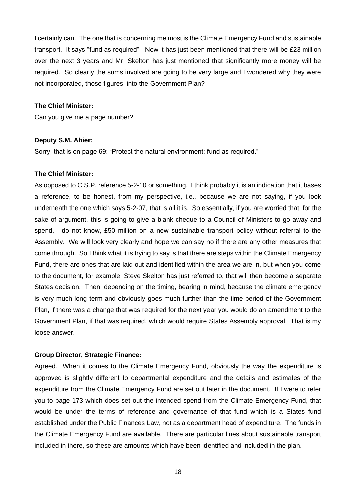I certainly can. The one that is concerning me most is the Climate Emergency Fund and sustainable transport. It says "fund as required". Now it has just been mentioned that there will be £23 million over the next 3 years and Mr. Skelton has just mentioned that significantly more money will be required. So clearly the sums involved are going to be very large and I wondered why they were not incorporated, those figures, into the Government Plan?

#### **The Chief Minister:**

Can you give me a page number?

#### **Deputy S.M. Ahier:**

Sorry, that is on page 69: "Protect the natural environment: fund as required."

#### **The Chief Minister:**

As opposed to C.S.P. reference 5-2-10 or something. I think probably it is an indication that it bases a reference, to be honest, from my perspective, i.e., because we are not saying, if you look underneath the one which says 5-2-07, that is all it is. So essentially, if you are worried that, for the sake of argument, this is going to give a blank cheque to a Council of Ministers to go away and spend, I do not know, £50 million on a new sustainable transport policy without referral to the Assembly. We will look very clearly and hope we can say no if there are any other measures that come through. So I think what it is trying to say is that there are steps within the Climate Emergency Fund, there are ones that are laid out and identified within the area we are in, but when you come to the document, for example, Steve Skelton has just referred to, that will then become a separate States decision. Then, depending on the timing, bearing in mind, because the climate emergency is very much long term and obviously goes much further than the time period of the Government Plan, if there was a change that was required for the next year you would do an amendment to the Government Plan, if that was required, which would require States Assembly approval. That is my loose answer.

## **Group Director, Strategic Finance:**

Agreed. When it comes to the Climate Emergency Fund, obviously the way the expenditure is approved is slightly different to departmental expenditure and the details and estimates of the expenditure from the Climate Emergency Fund are set out later in the document. If I were to refer you to page 173 which does set out the intended spend from the Climate Emergency Fund, that would be under the terms of reference and governance of that fund which is a States fund established under the Public Finances Law, not as a department head of expenditure. The funds in the Climate Emergency Fund are available. There are particular lines about sustainable transport included in there, so these are amounts which have been identified and included in the plan.

18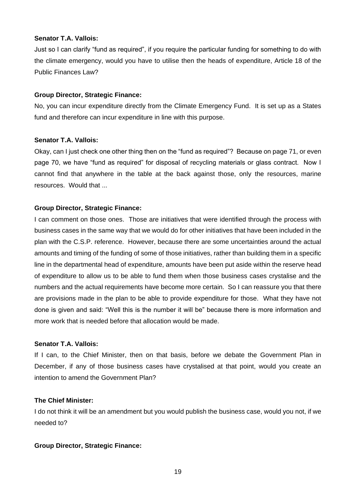## **Senator T.A. Vallois:**

Just so I can clarify "fund as required", if you require the particular funding for something to do with the climate emergency, would you have to utilise then the heads of expenditure, Article 18 of the Public Finances Law?

# **Group Director, Strategic Finance:**

No, you can incur expenditure directly from the Climate Emergency Fund. It is set up as a States fund and therefore can incur expenditure in line with this purpose.

# **Senator T.A. Vallois:**

Okay, can I just check one other thing then on the "fund as required"? Because on page 71, or even page 70, we have "fund as required" for disposal of recycling materials or glass contract. Now I cannot find that anywhere in the table at the back against those, only the resources, marine resources. Would that ...

# **Group Director, Strategic Finance:**

I can comment on those ones. Those are initiatives that were identified through the process with business cases in the same way that we would do for other initiatives that have been included in the plan with the C.S.P. reference. However, because there are some uncertainties around the actual amounts and timing of the funding of some of those initiatives, rather than building them in a specific line in the departmental head of expenditure, amounts have been put aside within the reserve head of expenditure to allow us to be able to fund them when those business cases crystalise and the numbers and the actual requirements have become more certain. So I can reassure you that there are provisions made in the plan to be able to provide expenditure for those. What they have not done is given and said: "Well this is the number it will be" because there is more information and more work that is needed before that allocation would be made.

# **Senator T.A. Vallois:**

If I can, to the Chief Minister, then on that basis, before we debate the Government Plan in December, if any of those business cases have crystalised at that point, would you create an intention to amend the Government Plan?

# **The Chief Minister:**

I do not think it will be an amendment but you would publish the business case, would you not, if we needed to?

# **Group Director, Strategic Finance:**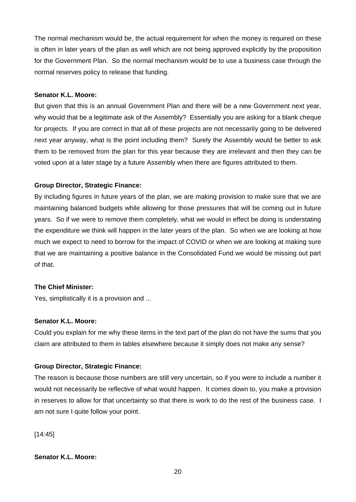The normal mechanism would be, the actual requirement for when the money is required on these is often in later years of the plan as well which are not being approved explicitly by the proposition for the Government Plan. So the normal mechanism would be to use a business case through the normal reserves policy to release that funding.

# **Senator K.L. Moore:**

But given that this is an annual Government Plan and there will be a new Government next year, why would that be a legitimate ask of the Assembly? Essentially you are asking for a blank cheque for projects. If you are correct in that all of these projects are not necessarily going to be delivered next year anyway, what is the point including them? Surely the Assembly would be better to ask them to be removed from the plan for this year because they are irrelevant and then they can be voted upon at a later stage by a future Assembly when there are figures attributed to them.

# **Group Director, Strategic Finance:**

By including figures in future years of the plan, we are making provision to make sure that we are maintaining balanced budgets while allowing for those pressures that will be coming out in future years. So if we were to remove them completely, what we would in effect be doing is understating the expenditure we think will happen in the later years of the plan. So when we are looking at how much we expect to need to borrow for the impact of COVID or when we are looking at making sure that we are maintaining a positive balance in the Consolidated Fund we would be missing out part of that.

# **The Chief Minister:**

Yes, simplistically it is a provision and ...

## **Senator K.L. Moore:**

Could you explain for me why these items in the text part of the plan do not have the sums that you claim are attributed to them in tables elsewhere because it simply does not make any sense?

# **Group Director, Strategic Finance:**

The reason is because those numbers are still very uncertain, so if you were to include a number it would not necessarily be reflective of what would happen. It comes down to, you make a provision in reserves to allow for that uncertainty so that there is work to do the rest of the business case. I am not sure I quite follow your point.

[14:45]

# **Senator K.L. Moore:**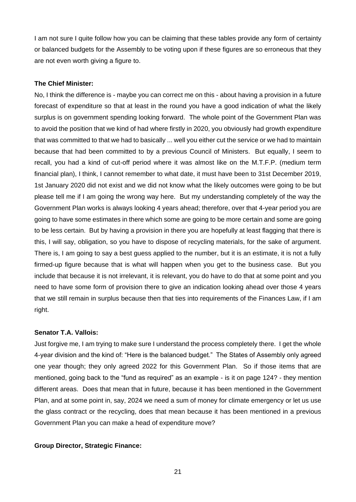I am not sure I quite follow how you can be claiming that these tables provide any form of certainty or balanced budgets for the Assembly to be voting upon if these figures are so erroneous that they are not even worth giving a figure to.

## **The Chief Minister:**

No, I think the difference is - maybe you can correct me on this - about having a provision in a future forecast of expenditure so that at least in the round you have a good indication of what the likely surplus is on government spending looking forward. The whole point of the Government Plan was to avoid the position that we kind of had where firstly in 2020, you obviously had growth expenditure that was committed to that we had to basically ... well you either cut the service or we had to maintain because that had been committed to by a previous Council of Ministers. But equally, I seem to recall, you had a kind of cut-off period where it was almost like on the M.T.F.P. (medium term financial plan), I think, I cannot remember to what date, it must have been to 31st December 2019, 1st January 2020 did not exist and we did not know what the likely outcomes were going to be but please tell me if I am going the wrong way here. But my understanding completely of the way the Government Plan works is always looking 4 years ahead; therefore, over that 4-year period you are going to have some estimates in there which some are going to be more certain and some are going to be less certain. But by having a provision in there you are hopefully at least flagging that there is this, I will say, obligation, so you have to dispose of recycling materials, for the sake of argument. There is, I am going to say a best guess applied to the number, but it is an estimate, it is not a fully firmed-up figure because that is what will happen when you get to the business case. But you include that because it is not irrelevant, it is relevant, you do have to do that at some point and you need to have some form of provision there to give an indication looking ahead over those 4 years that we still remain in surplus because then that ties into requirements of the Finances Law, if I am right.

#### **Senator T.A. Vallois:**

Just forgive me, I am trying to make sure I understand the process completely there. I get the whole 4-year division and the kind of: "Here is the balanced budget." The States of Assembly only agreed one year though; they only agreed 2022 for this Government Plan. So if those items that are mentioned, going back to the "fund as required" as an example - is it on page 124? - they mention different areas. Does that mean that in future, because it has been mentioned in the Government Plan, and at some point in, say, 2024 we need a sum of money for climate emergency or let us use the glass contract or the recycling, does that mean because it has been mentioned in a previous Government Plan you can make a head of expenditure move?

## **Group Director, Strategic Finance:**

21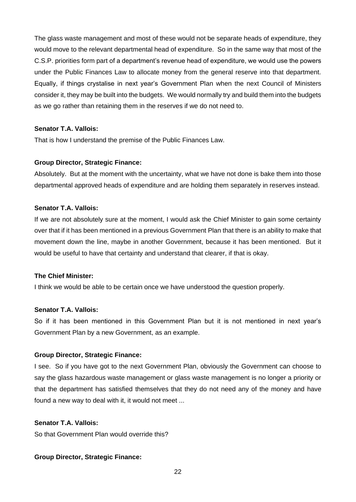The glass waste management and most of these would not be separate heads of expenditure, they would move to the relevant departmental head of expenditure. So in the same way that most of the C.S.P. priorities form part of a department's revenue head of expenditure, we would use the powers under the Public Finances Law to allocate money from the general reserve into that department. Equally, if things crystalise in next year's Government Plan when the next Council of Ministers consider it, they may be built into the budgets. We would normally try and build them into the budgets as we go rather than retaining them in the reserves if we do not need to.

# **Senator T.A. Vallois:**

That is how I understand the premise of the Public Finances Law.

### **Group Director, Strategic Finance:**

Absolutely. But at the moment with the uncertainty, what we have not done is bake them into those departmental approved heads of expenditure and are holding them separately in reserves instead.

# **Senator T.A. Vallois:**

If we are not absolutely sure at the moment, I would ask the Chief Minister to gain some certainty over that if it has been mentioned in a previous Government Plan that there is an ability to make that movement down the line, maybe in another Government, because it has been mentioned. But it would be useful to have that certainty and understand that clearer, if that is okay.

## **The Chief Minister:**

I think we would be able to be certain once we have understood the question properly.

## **Senator T.A. Vallois:**

So if it has been mentioned in this Government Plan but it is not mentioned in next year's Government Plan by a new Government, as an example.

## **Group Director, Strategic Finance:**

I see. So if you have got to the next Government Plan, obviously the Government can choose to say the glass hazardous waste management or glass waste management is no longer a priority or that the department has satisfied themselves that they do not need any of the money and have found a new way to deal with it, it would not meet ...

# **Senator T.A. Vallois:**

So that Government Plan would override this?

#### **Group Director, Strategic Finance:**

22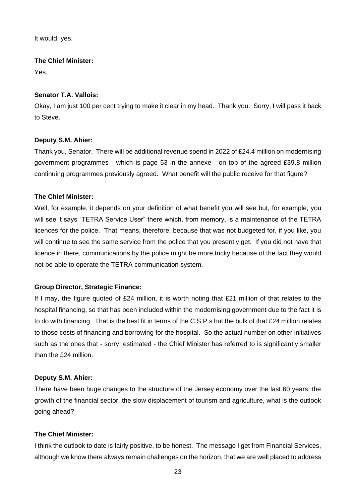It would, yes.

# **The Chief Minister:**

Yes.

# **Senator T.A. Vallois:**

Okay, I am just 100 per cent trying to make it clear in my head. Thank you. Sorry, I will pass it back to Steve.

# **Deputy S.M. Ahier:**

Thank you, Senator. There will be additional revenue spend in 2022 of £24.4 million on modernising government programmes - which is page 53 in the annexe - on top of the agreed £39.8 million continuing programmes previously agreed. What benefit will the public receive for that figure?

# **The Chief Minister:**

Well, for example, it depends on your definition of what benefit you will see but, for example, you will see it says "TETRA Service User" there which, from memory, is a maintenance of the TETRA licences for the police. That means, therefore, because that was not budgeted for, if you like, you will continue to see the same service from the police that you presently get. If you did not have that licence in there, communications by the police might be more tricky because of the fact they would not be able to operate the TETRA communication system.

# **Group Director, Strategic Finance:**

If I may, the figure quoted of  $E24$  million, it is worth noting that  $E21$  million of that relates to the hospital financing, so that has been included within the modernising government due to the fact it is to do with financing. That is the best fit in terms of the C.S.P.s but the bulk of that £24 million relates to those costs of financing and borrowing for the hospital. So the actual number on other initiatives such as the ones that - sorry, estimated - the Chief Minister has referred to is significantly smaller than the £24 million.

## **Deputy S.M. Ahier:**

There have been huge changes to the structure of the Jersey economy over the last 60 years: the growth of the financial sector, the slow displacement of tourism and agriculture, what is the outlook going ahead?

# **The Chief Minister:**

I think the outlook to date is fairly positive, to be honest. The message I get from Financial Services, although we know there always remain challenges on the horizon, that we are well placed to address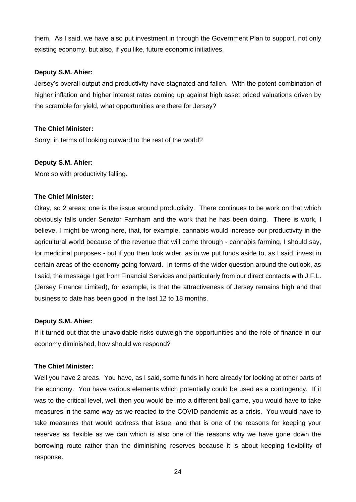them. As I said, we have also put investment in through the Government Plan to support, not only existing economy, but also, if you like, future economic initiatives.

# **Deputy S.M. Ahier:**

Jersey's overall output and productivity have stagnated and fallen. With the potent combination of higher inflation and higher interest rates coming up against high asset priced valuations driven by the scramble for yield, what opportunities are there for Jersey?

# **The Chief Minister:**

Sorry, in terms of looking outward to the rest of the world?

# **Deputy S.M. Ahier:**

More so with productivity falling.

# **The Chief Minister:**

Okay, so 2 areas: one is the issue around productivity. There continues to be work on that which obviously falls under Senator Farnham and the work that he has been doing. There is work, I believe, I might be wrong here, that, for example, cannabis would increase our productivity in the agricultural world because of the revenue that will come through - cannabis farming, I should say, for medicinal purposes - but if you then look wider, as in we put funds aside to, as I said, invest in certain areas of the economy going forward. In terms of the wider question around the outlook, as I said, the message I get from Financial Services and particularly from our direct contacts with J.F.L. (Jersey Finance Limited), for example, is that the attractiveness of Jersey remains high and that business to date has been good in the last 12 to 18 months.

## **Deputy S.M. Ahier:**

If it turned out that the unavoidable risks outweigh the opportunities and the role of finance in our economy diminished, how should we respond?

## **The Chief Minister:**

Well you have 2 areas. You have, as I said, some funds in here already for looking at other parts of the economy. You have various elements which potentially could be used as a contingency. If it was to the critical level, well then you would be into a different ball game, you would have to take measures in the same way as we reacted to the COVID pandemic as a crisis. You would have to take measures that would address that issue, and that is one of the reasons for keeping your reserves as flexible as we can which is also one of the reasons why we have gone down the borrowing route rather than the diminishing reserves because it is about keeping flexibility of response.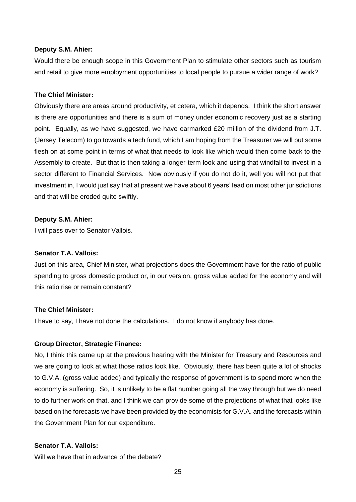#### **Deputy S.M. Ahier:**

Would there be enough scope in this Government Plan to stimulate other sectors such as tourism and retail to give more employment opportunities to local people to pursue a wider range of work?

# **The Chief Minister:**

Obviously there are areas around productivity, et cetera, which it depends. I think the short answer is there are opportunities and there is a sum of money under economic recovery just as a starting point. Equally, as we have suggested, we have earmarked £20 million of the dividend from J.T. (Jersey Telecom) to go towards a tech fund, which I am hoping from the Treasurer we will put some flesh on at some point in terms of what that needs to look like which would then come back to the Assembly to create. But that is then taking a longer-term look and using that windfall to invest in a sector different to Financial Services. Now obviously if you do not do it, well you will not put that investment in, I would just say that at present we have about 6 years' lead on most other jurisdictions and that will be eroded quite swiftly.

#### **Deputy S.M. Ahier:**

I will pass over to Senator Vallois.

#### **Senator T.A. Vallois:**

Just on this area, Chief Minister, what projections does the Government have for the ratio of public spending to gross domestic product or, in our version, gross value added for the economy and will this ratio rise or remain constant?

### **The Chief Minister:**

I have to say, I have not done the calculations. I do not know if anybody has done.

# **Group Director, Strategic Finance:**

No, I think this came up at the previous hearing with the Minister for Treasury and Resources and we are going to look at what those ratios look like. Obviously, there has been quite a lot of shocks to G.V.A. (gross value added) and typically the response of government is to spend more when the economy is suffering. So, it is unlikely to be a flat number going all the way through but we do need to do further work on that, and I think we can provide some of the projections of what that looks like based on the forecasts we have been provided by the economists for G.V.A. and the forecasts within the Government Plan for our expenditure.

#### **Senator T.A. Vallois:**

Will we have that in advance of the debate?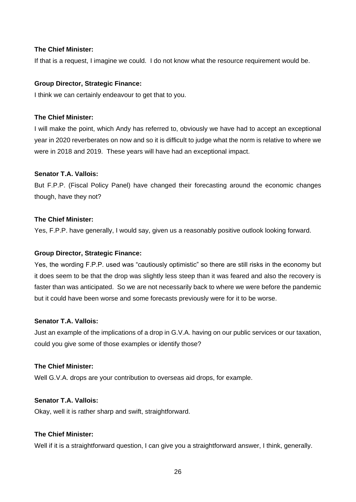# **The Chief Minister:**

If that is a request, I imagine we could. I do not know what the resource requirement would be.

## **Group Director, Strategic Finance:**

I think we can certainly endeavour to get that to you.

# **The Chief Minister:**

I will make the point, which Andy has referred to, obviously we have had to accept an exceptional year in 2020 reverberates on now and so it is difficult to judge what the norm is relative to where we were in 2018 and 2019. These years will have had an exceptional impact.

# **Senator T.A. Vallois:**

But F.P.P. (Fiscal Policy Panel) have changed their forecasting around the economic changes though, have they not?

# **The Chief Minister:**

Yes, F.P.P. have generally, I would say, given us a reasonably positive outlook looking forward.

# **Group Director, Strategic Finance:**

Yes, the wording F.P.P. used was "cautiously optimistic" so there are still risks in the economy but it does seem to be that the drop was slightly less steep than it was feared and also the recovery is faster than was anticipated. So we are not necessarily back to where we were before the pandemic but it could have been worse and some forecasts previously were for it to be worse.

# **Senator T.A. Vallois:**

Just an example of the implications of a drop in G.V.A. having on our public services or our taxation, could you give some of those examples or identify those?

# **The Chief Minister:**

Well G.V.A. drops are your contribution to overseas aid drops, for example.

# **Senator T.A. Vallois:**

Okay, well it is rather sharp and swift, straightforward.

# **The Chief Minister:**

Well if it is a straightforward question, I can give you a straightforward answer, I think, generally.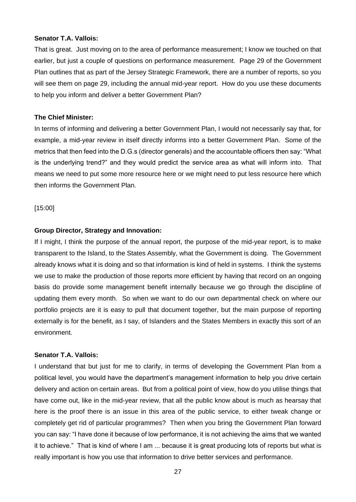#### **Senator T.A. Vallois:**

That is great. Just moving on to the area of performance measurement; I know we touched on that earlier, but just a couple of questions on performance measurement. Page 29 of the Government Plan outlines that as part of the Jersey Strategic Framework, there are a number of reports, so you will see them on page 29, including the annual mid-year report. How do you use these documents to help you inform and deliver a better Government Plan?

## **The Chief Minister:**

In terms of informing and delivering a better Government Plan, I would not necessarily say that, for example, a mid-year review in itself directly informs into a better Government Plan. Some of the metrics that then feed into the D.G.s (director generals) and the accountable officers then say: "What is the underlying trend?" and they would predict the service area as what will inform into. That means we need to put some more resource here or we might need to put less resource here which then informs the Government Plan.

## [15:00]

#### **Group Director, Strategy and Innovation:**

If I might, I think the purpose of the annual report, the purpose of the mid-year report, is to make transparent to the Island, to the States Assembly, what the Government is doing. The Government already knows what it is doing and so that information is kind of held in systems. I think the systems we use to make the production of those reports more efficient by having that record on an ongoing basis do provide some management benefit internally because we go through the discipline of updating them every month. So when we want to do our own departmental check on where our portfolio projects are it is easy to pull that document together, but the main purpose of reporting externally is for the benefit, as I say, of Islanders and the States Members in exactly this sort of an environment.

## **Senator T.A. Vallois:**

I understand that but just for me to clarify, in terms of developing the Government Plan from a political level, you would have the department's management information to help you drive certain delivery and action on certain areas. But from a political point of view, how do you utilise things that have come out, like in the mid-year review, that all the public know about is much as hearsay that here is the proof there is an issue in this area of the public service, to either tweak change or completely get rid of particular programmes? Then when you bring the Government Plan forward you can say: "I have done it because of low performance, it is not achieving the aims that we wanted it to achieve." That is kind of where I am ... because it is great producing lots of reports but what is really important is how you use that information to drive better services and performance.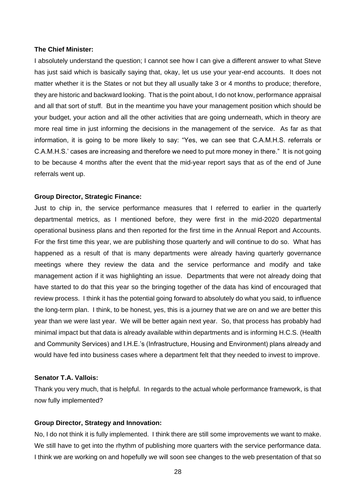## **The Chief Minister:**

I absolutely understand the question; I cannot see how I can give a different answer to what Steve has just said which is basically saying that, okay, let us use your year-end accounts. It does not matter whether it is the States or not but they all usually take 3 or 4 months to produce; therefore, they are historic and backward looking. That is the point about, I do not know, performance appraisal and all that sort of stuff. But in the meantime you have your management position which should be your budget, your action and all the other activities that are going underneath, which in theory are more real time in just informing the decisions in the management of the service. As far as that information, it is going to be more likely to say: "Yes, we can see that C.A.M.H.S. referrals or C.A.M.H.S.' cases are increasing and therefore we need to put more money in there." It is not going to be because 4 months after the event that the mid-year report says that as of the end of June referrals went up.

#### **Group Director, Strategic Finance:**

Just to chip in, the service performance measures that I referred to earlier in the quarterly departmental metrics, as I mentioned before, they were first in the mid-2020 departmental operational business plans and then reported for the first time in the Annual Report and Accounts. For the first time this year, we are publishing those quarterly and will continue to do so. What has happened as a result of that is many departments were already having quarterly governance meetings where they review the data and the service performance and modify and take management action if it was highlighting an issue. Departments that were not already doing that have started to do that this year so the bringing together of the data has kind of encouraged that review process. I think it has the potential going forward to absolutely do what you said, to influence the long-term plan. I think, to be honest, yes, this is a journey that we are on and we are better this year than we were last year. We will be better again next year. So, that process has probably had minimal impact but that data is already available within departments and is informing H.C.S. (Health and Community Services) and I.H.E.'s (Infrastructure, Housing and Environment) plans already and would have fed into business cases where a department felt that they needed to invest to improve.

# **Senator T.A. Vallois:**

Thank you very much, that is helpful. In regards to the actual whole performance framework, is that now fully implemented?

#### **Group Director, Strategy and Innovation:**

No, I do not think it is fully implemented. I think there are still some improvements we want to make. We still have to get into the rhythm of publishing more quarters with the service performance data. I think we are working on and hopefully we will soon see changes to the web presentation of that so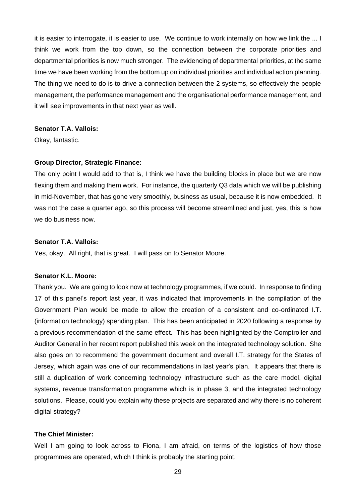it is easier to interrogate, it is easier to use. We continue to work internally on how we link the ... I think we work from the top down, so the connection between the corporate priorities and departmental priorities is now much stronger. The evidencing of departmental priorities, at the same time we have been working from the bottom up on individual priorities and individual action planning. The thing we need to do is to drive a connection between the 2 systems, so effectively the people management, the performance management and the organisational performance management, and it will see improvements in that next year as well.

# **Senator T.A. Vallois:**

Okay, fantastic.

### **Group Director, Strategic Finance:**

The only point I would add to that is, I think we have the building blocks in place but we are now flexing them and making them work. For instance, the quarterly Q3 data which we will be publishing in mid-November, that has gone very smoothly, business as usual, because it is now embedded. It was not the case a quarter ago, so this process will become streamlined and just, yes, this is how we do business now.

## **Senator T.A. Vallois:**

Yes, okay. All right, that is great. I will pass on to Senator Moore.

#### **Senator K.L. Moore:**

Thank you. We are going to look now at technology programmes, if we could. In response to finding 17 of this panel's report last year, it was indicated that improvements in the compilation of the Government Plan would be made to allow the creation of a consistent and co-ordinated I.T. (information technology) spending plan. This has been anticipated in 2020 following a response by a previous recommendation of the same effect. This has been highlighted by the Comptroller and Auditor General in her recent report published this week on the integrated technology solution. She also goes on to recommend the government document and overall I.T. strategy for the States of Jersey, which again was one of our recommendations in last year's plan. It appears that there is still a duplication of work concerning technology infrastructure such as the care model, digital systems, revenue transformation programme which is in phase 3, and the integrated technology solutions. Please, could you explain why these projects are separated and why there is no coherent digital strategy?

## **The Chief Minister:**

Well I am going to look across to Fiona, I am afraid, on terms of the logistics of how those programmes are operated, which I think is probably the starting point.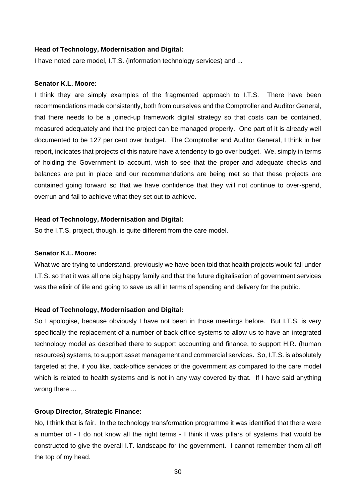## **Head of Technology, Modernisation and Digital:**

I have noted care model, I.T.S. (information technology services) and ...

#### **Senator K.L. Moore:**

I think they are simply examples of the fragmented approach to I.T.S. There have been recommendations made consistently, both from ourselves and the Comptroller and Auditor General, that there needs to be a joined-up framework digital strategy so that costs can be contained, measured adequately and that the project can be managed properly. One part of it is already well documented to be 127 per cent over budget. The Comptroller and Auditor General, I think in her report, indicates that projects of this nature have a tendency to go over budget. We, simply in terms of holding the Government to account, wish to see that the proper and adequate checks and balances are put in place and our recommendations are being met so that these projects are contained going forward so that we have confidence that they will not continue to over-spend, overrun and fail to achieve what they set out to achieve.

## **Head of Technology, Modernisation and Digital:**

So the I.T.S. project, though, is quite different from the care model.

#### **Senator K.L. Moore:**

What we are trying to understand, previously we have been told that health projects would fall under I.T.S. so that it was all one big happy family and that the future digitalisation of government services was the elixir of life and going to save us all in terms of spending and delivery for the public.

### **Head of Technology, Modernisation and Digital:**

So I apologise, because obviously I have not been in those meetings before. But I.T.S. is very specifically the replacement of a number of back-office systems to allow us to have an integrated technology model as described there to support accounting and finance, to support H.R. (human resources) systems, to support asset management and commercial services. So, I.T.S. is absolutely targeted at the, if you like, back-office services of the government as compared to the care model which is related to health systems and is not in any way covered by that. If I have said anything wrong there ...

#### **Group Director, Strategic Finance:**

No, I think that is fair. In the technology transformation programme it was identified that there were a number of - I do not know all the right terms - I think it was pillars of systems that would be constructed to give the overall I.T. landscape for the government. I cannot remember them all off the top of my head.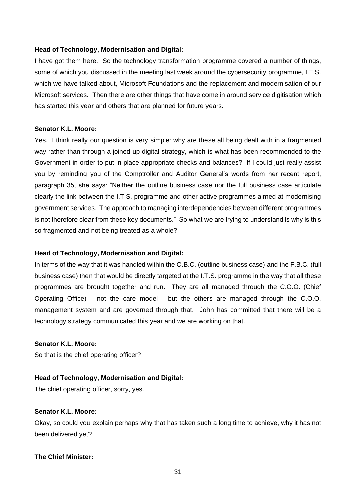#### **Head of Technology, Modernisation and Digital:**

I have got them here. So the technology transformation programme covered a number of things, some of which you discussed in the meeting last week around the cybersecurity programme, I.T.S. which we have talked about, Microsoft Foundations and the replacement and modernisation of our Microsoft services. Then there are other things that have come in around service digitisation which has started this year and others that are planned for future years.

# **Senator K.L. Moore:**

Yes. I think really our question is very simple: why are these all being dealt with in a fragmented way rather than through a joined-up digital strategy, which is what has been recommended to the Government in order to put in place appropriate checks and balances? If I could just really assist you by reminding you of the Comptroller and Auditor General's words from her recent report, paragraph 35, she says: "Neither the outline business case nor the full business case articulate clearly the link between the I.T.S. programme and other active programmes aimed at modernising government services. The approach to managing interdependencies between different programmes is not therefore clear from these key documents." So what we are trying to understand is why is this so fragmented and not being treated as a whole?

## **Head of Technology, Modernisation and Digital:**

In terms of the way that it was handled within the O.B.C. (outline business case) and the F.B.C. (full business case) then that would be directly targeted at the I.T.S. programme in the way that all these programmes are brought together and run. They are all managed through the C.O.O. (Chief Operating Office) - not the care model - but the others are managed through the C.O.O. management system and are governed through that. John has committed that there will be a technology strategy communicated this year and we are working on that.

# **Senator K.L. Moore:**

So that is the chief operating officer?

## **Head of Technology, Modernisation and Digital:**

The chief operating officer, sorry, yes.

#### **Senator K.L. Moore:**

Okay, so could you explain perhaps why that has taken such a long time to achieve, why it has not been delivered yet?

## **The Chief Minister:**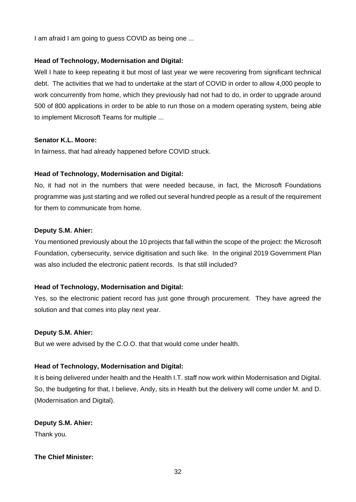I am afraid I am going to guess COVID as being one ...

# **Head of Technology, Modernisation and Digital:**

Well I hate to keep repeating it but most of last year we were recovering from significant technical debt. The activities that we had to undertake at the start of COVID in order to allow 4,000 people to work concurrently from home, which they previously had not had to do, in order to upgrade around 500 of 800 applications in order to be able to run those on a modern operating system, being able to implement Microsoft Teams for multiple ...

## **Senator K.L. Moore:**

In fairness, that had already happened before COVID struck.

# **Head of Technology, Modernisation and Digital:**

No, it had not in the numbers that were needed because, in fact, the Microsoft Foundations programme was just starting and we rolled out several hundred people as a result of the requirement for them to communicate from home.

# **Deputy S.M. Ahier:**

You mentioned previously about the 10 projects that fall within the scope of the project: the Microsoft Foundation, cybersecurity, service digitisation and such like. In the original 2019 Government Plan was also included the electronic patient records. Is that still included?

# **Head of Technology, Modernisation and Digital:**

Yes, so the electronic patient record has just gone through procurement. They have agreed the solution and that comes into play next year.

## **Deputy S.M. Ahier:**

But we were advised by the C.O.O. that that would come under health.

## **Head of Technology, Modernisation and Digital:**

It is being delivered under health and the Health I.T. staff now work within Modernisation and Digital. So, the budgeting for that, I believe, Andy, sits in Health but the delivery will come under M. and D. (Modernisation and Digital).

# **Deputy S.M. Ahier:**

Thank you.

# **The Chief Minister:**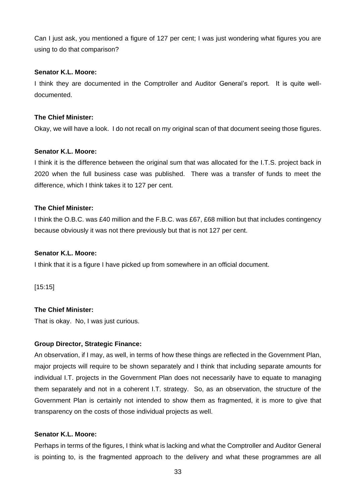Can I just ask, you mentioned a figure of 127 per cent; I was just wondering what figures you are using to do that comparison?

## **Senator K.L. Moore:**

I think they are documented in the Comptroller and Auditor General's report. It is quite welldocumented.

# **The Chief Minister:**

Okay, we will have a look. I do not recall on my original scan of that document seeing those figures.

# **Senator K.L. Moore:**

I think it is the difference between the original sum that was allocated for the I.T.S. project back in 2020 when the full business case was published. There was a transfer of funds to meet the difference, which I think takes it to 127 per cent.

# **The Chief Minister:**

I think the O.B.C. was £40 million and the F.B.C. was £67, £68 million but that includes contingency because obviously it was not there previously but that is not 127 per cent.

## **Senator K.L. Moore:**

I think that it is a figure I have picked up from somewhere in an official document.

[15:15]

# **The Chief Minister:**

That is okay. No, I was just curious.

# **Group Director, Strategic Finance:**

An observation, if I may, as well, in terms of how these things are reflected in the Government Plan, major projects will require to be shown separately and I think that including separate amounts for individual I.T. projects in the Government Plan does not necessarily have to equate to managing them separately and not in a coherent I.T. strategy. So, as an observation, the structure of the Government Plan is certainly not intended to show them as fragmented, it is more to give that transparency on the costs of those individual projects as well.

# **Senator K.L. Moore:**

Perhaps in terms of the figures, I think what is lacking and what the Comptroller and Auditor General is pointing to, is the fragmented approach to the delivery and what these programmes are all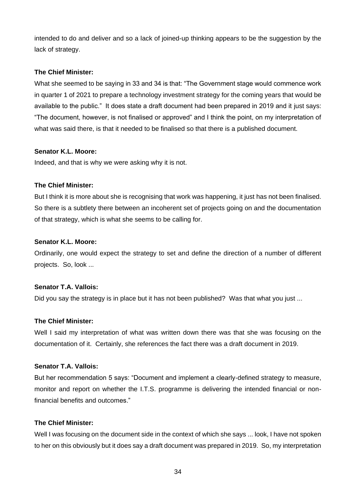intended to do and deliver and so a lack of joined-up thinking appears to be the suggestion by the lack of strategy.

## **The Chief Minister:**

What she seemed to be saying in 33 and 34 is that: "The Government stage would commence work in quarter 1 of 2021 to prepare a technology investment strategy for the coming years that would be available to the public." It does state a draft document had been prepared in 2019 and it just says: "The document, however, is not finalised or approved" and I think the point, on my interpretation of what was said there, is that it needed to be finalised so that there is a published document.

# **Senator K.L. Moore:**

Indeed, and that is why we were asking why it is not.

# **The Chief Minister:**

But I think it is more about she is recognising that work was happening, it just has not been finalised. So there is a subtlety there between an incoherent set of projects going on and the documentation of that strategy, which is what she seems to be calling for.

## **Senator K.L. Moore:**

Ordinarily, one would expect the strategy to set and define the direction of a number of different projects. So, look ...

# **Senator T.A. Vallois:**

Did you say the strategy is in place but it has not been published? Was that what you just ...

## **The Chief Minister:**

Well I said my interpretation of what was written down there was that she was focusing on the documentation of it. Certainly, she references the fact there was a draft document in 2019.

# **Senator T.A. Vallois:**

But her recommendation 5 says: "Document and implement a clearly-defined strategy to measure, monitor and report on whether the I.T.S. programme is delivering the intended financial or nonfinancial benefits and outcomes."

# **The Chief Minister:**

Well I was focusing on the document side in the context of which she says ... look, I have not spoken to her on this obviously but it does say a draft document was prepared in 2019. So, my interpretation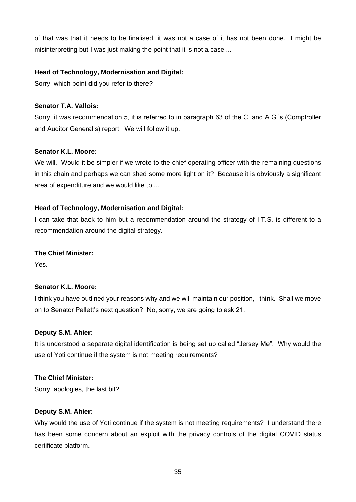of that was that it needs to be finalised; it was not a case of it has not been done. I might be misinterpreting but I was just making the point that it is not a case ...

# **Head of Technology, Modernisation and Digital:**

Sorry, which point did you refer to there?

# **Senator T.A. Vallois:**

Sorry, it was recommendation 5, it is referred to in paragraph 63 of the C. and A.G.'s (Comptroller and Auditor General's) report. We will follow it up.

# **Senator K.L. Moore:**

We will. Would it be simpler if we wrote to the chief operating officer with the remaining questions in this chain and perhaps we can shed some more light on it? Because it is obviously a significant area of expenditure and we would like to ...

# **Head of Technology, Modernisation and Digital:**

I can take that back to him but a recommendation around the strategy of I.T.S. is different to a recommendation around the digital strategy.

## **The Chief Minister:**

Yes.

## **Senator K.L. Moore:**

I think you have outlined your reasons why and we will maintain our position, I think. Shall we move on to Senator Pallett's next question? No, sorry, we are going to ask 21.

## **Deputy S.M. Ahier:**

It is understood a separate digital identification is being set up called "Jersey Me". Why would the use of Yoti continue if the system is not meeting requirements?

# **The Chief Minister:**

Sorry, apologies, the last bit?

## **Deputy S.M. Ahier:**

Why would the use of Yoti continue if the system is not meeting requirements? I understand there has been some concern about an exploit with the privacy controls of the digital COVID status certificate platform.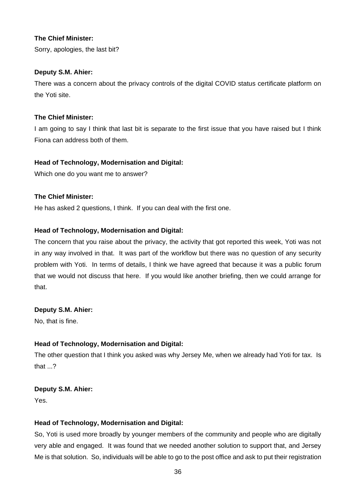# **The Chief Minister:**

Sorry, apologies, the last bit?

# **Deputy S.M. Ahier:**

There was a concern about the privacy controls of the digital COVID status certificate platform on the Yoti site.

# **The Chief Minister:**

I am going to say I think that last bit is separate to the first issue that you have raised but I think Fiona can address both of them.

# **Head of Technology, Modernisation and Digital:**

Which one do you want me to answer?

# **The Chief Minister:**

He has asked 2 questions, I think. If you can deal with the first one.

# **Head of Technology, Modernisation and Digital:**

The concern that you raise about the privacy, the activity that got reported this week, Yoti was not in any way involved in that. It was part of the workflow but there was no question of any security problem with Yoti. In terms of details, I think we have agreed that because it was a public forum that we would not discuss that here. If you would like another briefing, then we could arrange for that.

# **Deputy S.M. Ahier:**

No, that is fine.

# **Head of Technology, Modernisation and Digital:**

The other question that I think you asked was why Jersey Me, when we already had Yoti for tax. Is that ...?

# **Deputy S.M. Ahier:**

Yes.

# **Head of Technology, Modernisation and Digital:**

So, Yoti is used more broadly by younger members of the community and people who are digitally very able and engaged. It was found that we needed another solution to support that, and Jersey Me is that solution. So, individuals will be able to go to the post office and ask to put their registration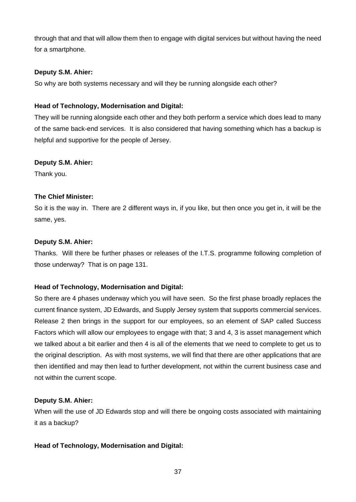through that and that will allow them then to engage with digital services but without having the need for a smartphone.

# **Deputy S.M. Ahier:**

So why are both systems necessary and will they be running alongside each other?

# **Head of Technology, Modernisation and Digital:**

They will be running alongside each other and they both perform a service which does lead to many of the same back-end services. It is also considered that having something which has a backup is helpful and supportive for the people of Jersey.

# **Deputy S.M. Ahier:**

Thank you.

# **The Chief Minister:**

So it is the way in. There are 2 different ways in, if you like, but then once you get in, it will be the same, yes.

# **Deputy S.M. Ahier:**

Thanks. Will there be further phases or releases of the I.T.S. programme following completion of those underway? That is on page 131.

# **Head of Technology, Modernisation and Digital:**

So there are 4 phases underway which you will have seen. So the first phase broadly replaces the current finance system, JD Edwards, and Supply Jersey system that supports commercial services. Release 2 then brings in the support for our employees, so an element of SAP called Success Factors which will allow our employees to engage with that; 3 and 4, 3 is asset management which we talked about a bit earlier and then 4 is all of the elements that we need to complete to get us to the original description. As with most systems, we will find that there are other applications that are then identified and may then lead to further development, not within the current business case and not within the current scope.

# **Deputy S.M. Ahier:**

When will the use of JD Edwards stop and will there be ongoing costs associated with maintaining it as a backup?

# **Head of Technology, Modernisation and Digital:**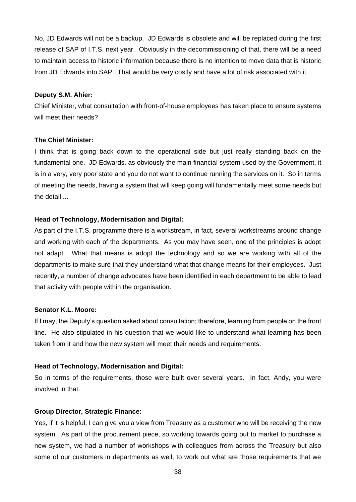No, JD Edwards will not be a backup. JD Edwards is obsolete and will be replaced during the first release of SAP of I.T.S. next year. Obviously in the decommissioning of that, there will be a need to maintain access to historic information because there is no intention to move data that is historic from JD Edwards into SAP. That would be very costly and have a lot of risk associated with it.

## **Deputy S.M. Ahier:**

Chief Minister, what consultation with front-of-house employees has taken place to ensure systems will meet their needs?

#### **The Chief Minister:**

I think that is going back down to the operational side but just really standing back on the fundamental one. JD Edwards, as obviously the main financial system used by the Government, it is in a very, very poor state and you do not want to continue running the services on it. So in terms of meeting the needs, having a system that will keep going will fundamentally meet some needs but the detail ...

## **Head of Technology, Modernisation and Digital:**

As part of the I.T.S. programme there is a workstream, in fact, several workstreams around change and working with each of the departments. As you may have seen, one of the principles is adopt not adapt. What that means is adopt the technology and so we are working with all of the departments to make sure that they understand what that change means for their employees. Just recently, a number of change advocates have been identified in each department to be able to lead that activity with people within the organisation.

### **Senator K.L. Moore:**

If I may, the Deputy's question asked about consultation; therefore, learning from people on the front line. He also stipulated in his question that we would like to understand what learning has been taken from it and how the new system will meet their needs and requirements.

#### **Head of Technology, Modernisation and Digital:**

So in terms of the requirements, those were built over several years. In fact, Andy, you were involved in that.

#### **Group Director, Strategic Finance:**

Yes, if it is helpful, I can give you a view from Treasury as a customer who will be receiving the new system. As part of the procurement piece, so working towards going out to market to purchase a new system, we had a number of workshops with colleagues from across the Treasury but also some of our customers in departments as well, to work out what are those requirements that we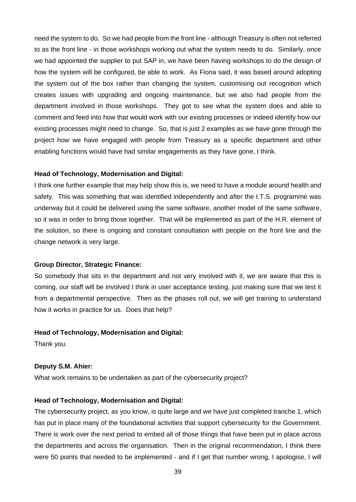need the system to do. So we had people from the front line - although Treasury is often not referred to as the front line - in those workshops working out what the system needs to do. Similarly, once we had appointed the supplier to put SAP in, we have been having workshops to do the design of how the system will be configured, be able to work. As Fiona said, it was based around adopting the system out of the box rather than changing the system, customising out recognition which creates issues with upgrading and ongoing maintenance, but we also had people from the department involved in those workshops. They got to see what the system does and able to comment and feed into how that would work with our existing processes or indeed identify how our existing processes might need to change. So, that is just 2 examples as we have gone through the project how we have engaged with people from Treasury as a specific department and other enabling functions would have had similar engagements as they have gone, I think.

#### **Head of Technology, Modernisation and Digital:**

I think one further example that may help show this is, we need to have a module around health and safety. This was something that was identified independently and after the I.T.S. programme was underway but it could be delivered using the same software, another model of the same software, so it was in order to bring those together. That will be implemented as part of the H.R. element of the solution, so there is ongoing and constant consultation with people on the front line and the change network is very large.

#### **Group Director, Strategic Finance:**

So somebody that sits in the department and not very involved with it, we are aware that this is coming, our staff will be involved I think in user acceptance testing, just making sure that we test it from a departmental perspective. Then as the phases roll out, we will get training to understand how it works in practice for us. Does that help?

#### **Head of Technology, Modernisation and Digital:**

Thank you.

#### **Deputy S.M. Ahier:**

What work remains to be undertaken as part of the cybersecurity project?

#### **Head of Technology, Modernisation and Digital:**

The cybersecurity project, as you know, is quite large and we have just completed tranche 1, which has put in place many of the foundational activities that support cybersecurity for the Government. There is work over the next period to embed all of those things that have been put in place across the departments and across the organisation. Then in the original recommendation, I think there were 50 points that needed to be implemented - and if I get that number wrong, I apologise, I will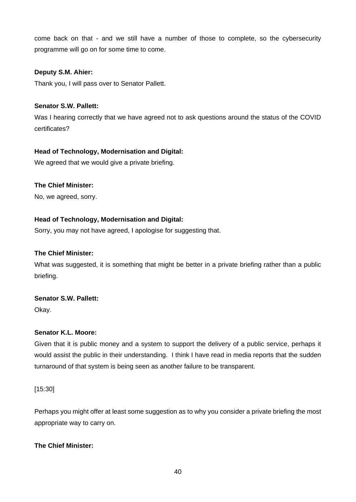come back on that - and we still have a number of those to complete, so the cybersecurity programme will go on for some time to come.

# **Deputy S.M. Ahier:**

Thank you, I will pass over to Senator Pallett.

# **Senator S.W. Pallett:**

Was I hearing correctly that we have agreed not to ask questions around the status of the COVID certificates?

# **Head of Technology, Modernisation and Digital:**

We agreed that we would give a private briefing.

# **The Chief Minister:**

No, we agreed, sorry.

# **Head of Technology, Modernisation and Digital:**

Sorry, you may not have agreed, I apologise for suggesting that.

# **The Chief Minister:**

What was suggested, it is something that might be better in a private briefing rather than a public briefing.

# **Senator S.W. Pallett:**

Okay.

# **Senator K.L. Moore:**

Given that it is public money and a system to support the delivery of a public service, perhaps it would assist the public in their understanding. I think I have read in media reports that the sudden turnaround of that system is being seen as another failure to be transparent.

# [15:30]

Perhaps you might offer at least some suggestion as to why you consider a private briefing the most appropriate way to carry on.

# **The Chief Minister:**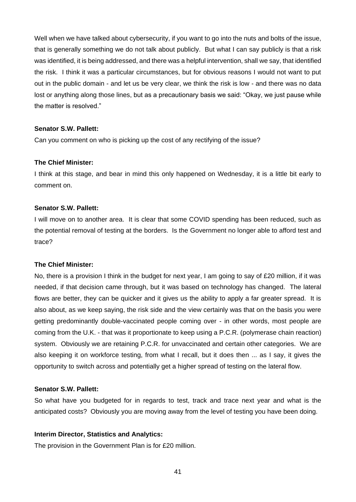Well when we have talked about cybersecurity, if you want to go into the nuts and bolts of the issue, that is generally something we do not talk about publicly. But what I can say publicly is that a risk was identified, it is being addressed, and there was a helpful intervention, shall we say, that identified the risk. I think it was a particular circumstances, but for obvious reasons I would not want to put out in the public domain - and let us be very clear, we think the risk is low - and there was no data lost or anything along those lines, but as a precautionary basis we said: "Okay, we just pause while the matter is resolved."

# **Senator S.W. Pallett:**

Can you comment on who is picking up the cost of any rectifying of the issue?

### **The Chief Minister:**

I think at this stage, and bear in mind this only happened on Wednesday, it is a little bit early to comment on.

#### **Senator S.W. Pallett:**

I will move on to another area. It is clear that some COVID spending has been reduced, such as the potential removal of testing at the borders. Is the Government no longer able to afford test and trace?

#### **The Chief Minister:**

No, there is a provision I think in the budget for next year, I am going to say of £20 million, if it was needed, if that decision came through, but it was based on technology has changed. The lateral flows are better, they can be quicker and it gives us the ability to apply a far greater spread. It is also about, as we keep saying, the risk side and the view certainly was that on the basis you were getting predominantly double-vaccinated people coming over - in other words, most people are coming from the U.K. - that was it proportionate to keep using a P.C.R. (polymerase chain reaction) system. Obviously we are retaining P.C.R. for unvaccinated and certain other categories. We are also keeping it on workforce testing, from what I recall, but it does then ... as I say, it gives the opportunity to switch across and potentially get a higher spread of testing on the lateral flow.

# **Senator S.W. Pallett:**

So what have you budgeted for in regards to test, track and trace next year and what is the anticipated costs? Obviously you are moving away from the level of testing you have been doing.

# **Interim Director, Statistics and Analytics:**

The provision in the Government Plan is for £20 million.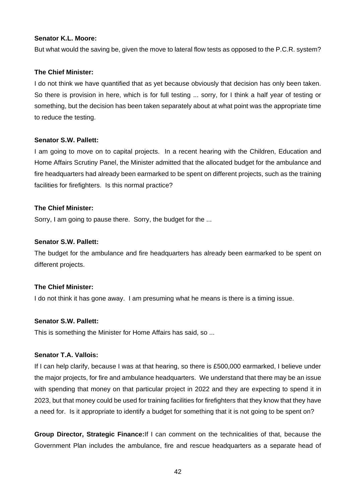## **Senator K.L. Moore:**

But what would the saving be, given the move to lateral flow tests as opposed to the P.C.R. system?

#### **The Chief Minister:**

I do not think we have quantified that as yet because obviously that decision has only been taken. So there is provision in here, which is for full testing ... sorry, for I think a half year of testing or something, but the decision has been taken separately about at what point was the appropriate time to reduce the testing.

#### **Senator S.W. Pallett:**

I am going to move on to capital projects. In a recent hearing with the Children, Education and Home Affairs Scrutiny Panel, the Minister admitted that the allocated budget for the ambulance and fire headquarters had already been earmarked to be spent on different projects, such as the training facilities for firefighters. Is this normal practice?

# **The Chief Minister:**

Sorry, I am going to pause there. Sorry, the budget for the ...

## **Senator S.W. Pallett:**

The budget for the ambulance and fire headquarters has already been earmarked to be spent on different projects.

## **The Chief Minister:**

I do not think it has gone away. I am presuming what he means is there is a timing issue.

#### **Senator S.W. Pallett:**

This is something the Minister for Home Affairs has said, so ...

## **Senator T.A. Vallois:**

If I can help clarify, because I was at that hearing, so there is £500,000 earmarked, I believe under the major projects, for fire and ambulance headquarters. We understand that there may be an issue with spending that money on that particular project in 2022 and they are expecting to spend it in 2023, but that money could be used for training facilities for firefighters that they know that they have a need for. Is it appropriate to identify a budget for something that it is not going to be spent on?

**Group Director, Strategic Finance:**If I can comment on the technicalities of that, because the Government Plan includes the ambulance, fire and rescue headquarters as a separate head of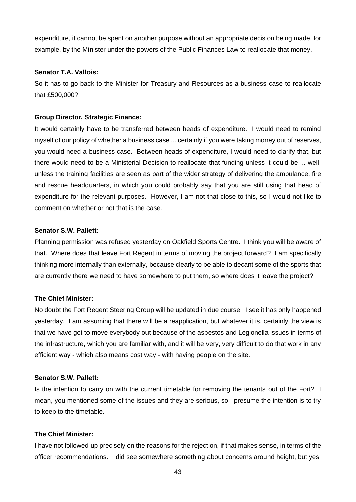expenditure, it cannot be spent on another purpose without an appropriate decision being made, for example, by the Minister under the powers of the Public Finances Law to reallocate that money.

## **Senator T.A. Vallois:**

So it has to go back to the Minister for Treasury and Resources as a business case to reallocate that £500,000?

# **Group Director, Strategic Finance:**

It would certainly have to be transferred between heads of expenditure. I would need to remind myself of our policy of whether a business case ... certainly if you were taking money out of reserves, you would need a business case. Between heads of expenditure, I would need to clarify that, but there would need to be a Ministerial Decision to reallocate that funding unless it could be ... well, unless the training facilities are seen as part of the wider strategy of delivering the ambulance, fire and rescue headquarters, in which you could probably say that you are still using that head of expenditure for the relevant purposes. However, I am not that close to this, so I would not like to comment on whether or not that is the case.

# **Senator S.W. Pallett:**

Planning permission was refused yesterday on Oakfield Sports Centre. I think you will be aware of that. Where does that leave Fort Regent in terms of moving the project forward? I am specifically thinking more internally than externally, because clearly to be able to decant some of the sports that are currently there we need to have somewhere to put them, so where does it leave the project?

# **The Chief Minister:**

No doubt the Fort Regent Steering Group will be updated in due course. I see it has only happened yesterday. I am assuming that there will be a reapplication, but whatever it is, certainly the view is that we have got to move everybody out because of the asbestos and Legionella issues in terms of the infrastructure, which you are familiar with, and it will be very, very difficult to do that work in any efficient way - which also means cost way - with having people on the site.

# **Senator S.W. Pallett:**

Is the intention to carry on with the current timetable for removing the tenants out of the Fort? I mean, you mentioned some of the issues and they are serious, so I presume the intention is to try to keep to the timetable.

## **The Chief Minister:**

I have not followed up precisely on the reasons for the rejection, if that makes sense, in terms of the officer recommendations. I did see somewhere something about concerns around height, but yes,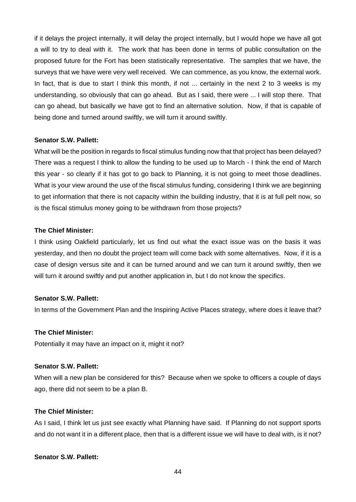if it delays the project internally, it will delay the project internally, but I would hope we have all got a will to try to deal with it. The work that has been done in terms of public consultation on the proposed future for the Fort has been statistically representative. The samples that we have, the surveys that we have were very well received. We can commence, as you know, the external work. In fact, that is due to start I think this month, if not ... certainly in the next 2 to 3 weeks is my understanding, so obviously that can go ahead. But as I said, there were ... I will stop there. That can go ahead, but basically we have got to find an alternative solution. Now, if that is capable of being done and turned around swiftly, we will turn it around swiftly.

# **Senator S.W. Pallett:**

What will be the position in regards to fiscal stimulus funding now that that project has been delayed? There was a request I think to allow the funding to be used up to March - I think the end of March this year - so clearly if it has got to go back to Planning, it is not going to meet those deadlines. What is your view around the use of the fiscal stimulus funding, considering I think we are beginning to get information that there is not capacity within the building industry, that it is at full pelt now, so is the fiscal stimulus money going to be withdrawn from those projects?

# **The Chief Minister:**

I think using Oakfield particularly, let us find out what the exact issue was on the basis it was yesterday, and then no doubt the project team will come back with some alternatives. Now, if it is a case of design versus site and it can be turned around and we can turn it around swiftly, then we will turn it around swiftly and put another application in, but I do not know the specifics.

# **Senator S.W. Pallett:**

In terms of the Government Plan and the Inspiring Active Places strategy, where does it leave that?

## **The Chief Minister:**

Potentially it may have an impact on it, might it not?

## **Senator S.W. Pallett:**

When will a new plan be considered for this? Because when we spoke to officers a couple of days ago, there did not seem to be a plan B.

## **The Chief Minister:**

As I said, I think let us just see exactly what Planning have said. If Planning do not support sports and do not want it in a different place, then that is a different issue we will have to deal with, is it not?

## **Senator S.W. Pallett:**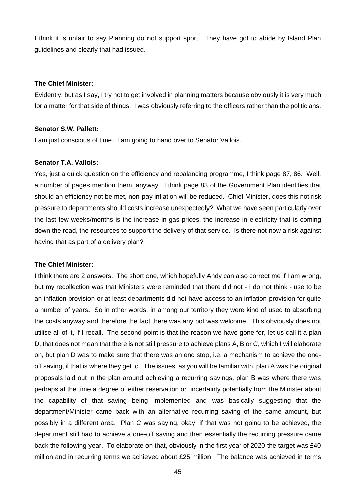I think it is unfair to say Planning do not support sport. They have got to abide by Island Plan guidelines and clearly that had issued.

#### **The Chief Minister:**

Evidently, but as I say, I try not to get involved in planning matters because obviously it is very much for a matter for that side of things. I was obviously referring to the officers rather than the politicians.

# **Senator S.W. Pallett:**

I am just conscious of time. I am going to hand over to Senator Vallois.

#### **Senator T.A. Vallois:**

Yes, just a quick question on the efficiency and rebalancing programme, I think page 87, 86. Well, a number of pages mention them, anyway. I think page 83 of the Government Plan identifies that should an efficiency not be met, non-pay inflation will be reduced. Chief Minister, does this not risk pressure to departments should costs increase unexpectedly? What we have seen particularly over the last few weeks/months is the increase in gas prices, the increase in electricity that is coming down the road, the resources to support the delivery of that service. Is there not now a risk against having that as part of a delivery plan?

#### **The Chief Minister:**

I think there are 2 answers. The short one, which hopefully Andy can also correct me if I am wrong, but my recollection was that Ministers were reminded that there did not - I do not think - use to be an inflation provision or at least departments did not have access to an inflation provision for quite a number of years. So in other words, in among our territory they were kind of used to absorbing the costs anyway and therefore the fact there was any pot was welcome. This obviously does not utilise all of it, if I recall. The second point is that the reason we have gone for, let us call it a plan D, that does not mean that there is not still pressure to achieve plans A, B or C, which I will elaborate on, but plan D was to make sure that there was an end stop, i.e. a mechanism to achieve the oneoff saving, if that is where they get to. The issues, as you will be familiar with, plan A was the original proposals laid out in the plan around achieving a recurring savings, plan B was where there was perhaps at the time a degree of either reservation or uncertainty potentially from the Minister about the capability of that saving being implemented and was basically suggesting that the department/Minister came back with an alternative recurring saving of the same amount, but possibly in a different area. Plan C was saying, okay, if that was not going to be achieved, the department still had to achieve a one-off saving and then essentially the recurring pressure came back the following year. To elaborate on that, obviously in the first year of 2020 the target was £40 million and in recurring terms we achieved about £25 million. The balance was achieved in terms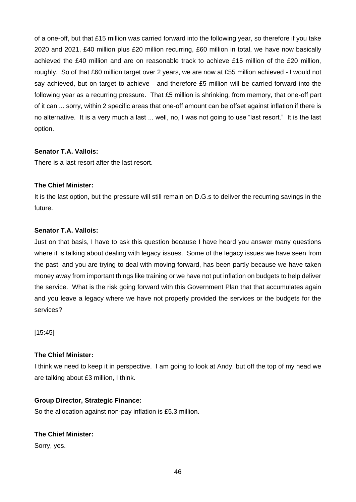of a one-off, but that £15 million was carried forward into the following year, so therefore if you take 2020 and 2021, £40 million plus £20 million recurring, £60 million in total, we have now basically achieved the £40 million and are on reasonable track to achieve £15 million of the £20 million, roughly. So of that £60 million target over 2 years, we are now at £55 million achieved - I would not say achieved, but on target to achieve - and therefore £5 million will be carried forward into the following year as a recurring pressure. That £5 million is shrinking, from memory, that one-off part of it can ... sorry, within 2 specific areas that one-off amount can be offset against inflation if there is no alternative. It is a very much a last ... well, no, I was not going to use "last resort." It is the last option.

# **Senator T.A. Vallois:**

There is a last resort after the last resort.

# **The Chief Minister:**

It is the last option, but the pressure will still remain on D.G.s to deliver the recurring savings in the future.

# **Senator T.A. Vallois:**

Just on that basis, I have to ask this question because I have heard you answer many questions where it is talking about dealing with legacy issues. Some of the legacy issues we have seen from the past, and you are trying to deal with moving forward, has been partly because we have taken money away from important things like training or we have not put inflation on budgets to help deliver the service. What is the risk going forward with this Government Plan that that accumulates again and you leave a legacy where we have not properly provided the services or the budgets for the services?

[15:45]

# **The Chief Minister:**

I think we need to keep it in perspective. I am going to look at Andy, but off the top of my head we are talking about £3 million, I think.

# **Group Director, Strategic Finance:**

So the allocation against non-pay inflation is £5.3 million.

# **The Chief Minister:**

Sorry, yes.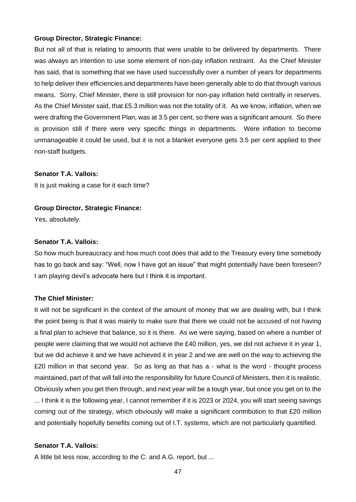## **Group Director, Strategic Finance:**

But not all of that is relating to amounts that were unable to be delivered by departments. There was always an intention to use some element of non-pay inflation restraint. As the Chief Minister has said, that is something that we have used successfully over a number of years for departments to help deliver their efficiencies and departments have been generally able to do that through various means. Sorry, Chief Minister, there is still provision for non-pay inflation held centrally in reserves. As the Chief Minister said, that £5.3 million was not the totality of it. As we know, inflation, when we were drafting the Government Plan, was at 3.5 per cent, so there was a significant amount. So there is provision still if there were very specific things in departments. Were inflation to become unmanageable it could be used, but it is not a blanket everyone gets 3.5 per cent applied to their non-staff budgets.

## **Senator T.A. Vallois:**

It is just making a case for it each time?

#### **Group Director, Strategic Finance:**

Yes, absolutely.

# **Senator T.A. Vallois:**

So how much bureaucracy and how much cost does that add to the Treasury every time somebody has to go back and say: "Well, now I have got an issue" that might potentially have been foreseen? I am playing devil's advocate here but I think it is important.

# **The Chief Minister:**

It will not be significant in the context of the amount of money that we are dealing with, but I think the point being is that it was mainly to make sure that there we could not be accused of not having a final plan to achieve that balance, so it is there. As we were saying, based on where a number of people were claiming that we would not achieve the £40 million, yes, we did not achieve it in year 1, but we did achieve it and we have achieved it in year 2 and we are well on the way to achieving the £20 million in that second year. So as long as that has a - what is the word - thought process maintained, part of that will fall into the responsibility for future Council of Ministers, then it is realistic. Obviously when you get then through, and next year will be a tough year, but once you get on to the ... I think it is the following year, I cannot remember if it is 2023 or 2024, you will start seeing savings coming out of the strategy, which obviously will make a significant contribution to that £20 million and potentially hopefully benefits coming out of I.T. systems, which are not particularly quantified.

# **Senator T.A. Vallois:**

A little bit less now, according to the C. and A.G. report, but ...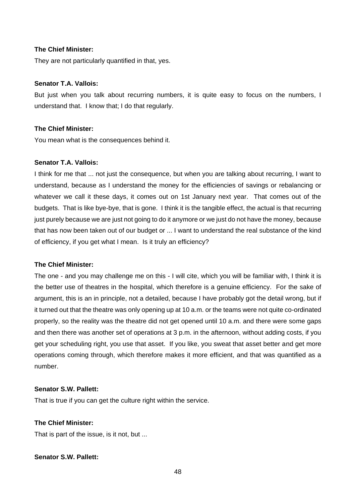# **The Chief Minister:**

They are not particularly quantified in that, yes.

## **Senator T.A. Vallois:**

But just when you talk about recurring numbers, it is quite easy to focus on the numbers, I understand that. I know that; I do that regularly.

# **The Chief Minister:**

You mean what is the consequences behind it.

# **Senator T.A. Vallois:**

I think for me that ... not just the consequence, but when you are talking about recurring, I want to understand, because as I understand the money for the efficiencies of savings or rebalancing or whatever we call it these days, it comes out on 1st January next year. That comes out of the budgets. That is like bye-bye, that is gone. I think it is the tangible effect, the actual is that recurring just purely because we are just not going to do it anymore or we just do not have the money, because that has now been taken out of our budget or ... I want to understand the real substance of the kind of efficiency, if you get what I mean. Is it truly an efficiency?

## **The Chief Minister:**

The one - and you may challenge me on this - I will cite, which you will be familiar with, I think it is the better use of theatres in the hospital, which therefore is a genuine efficiency. For the sake of argument, this is an in principle, not a detailed, because I have probably got the detail wrong, but if it turned out that the theatre was only opening up at 10 a.m. or the teams were not quite co-ordinated properly, so the reality was the theatre did not get opened until 10 a.m. and there were some gaps and then there was another set of operations at 3 p.m. in the afternoon, without adding costs, if you get your scheduling right, you use that asset. If you like, you sweat that asset better and get more operations coming through, which therefore makes it more efficient, and that was quantified as a number.

# **Senator S.W. Pallett:**

That is true if you can get the culture right within the service.

# **The Chief Minister:**

That is part of the issue, is it not, but ...

## **Senator S.W. Pallett:**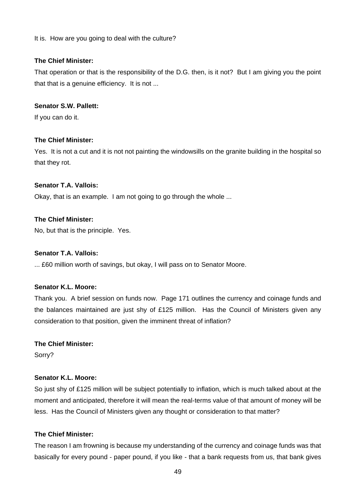It is. How are you going to deal with the culture?

# **The Chief Minister:**

That operation or that is the responsibility of the D.G. then, is it not? But I am giving you the point that that is a genuine efficiency. It is not ...

## **Senator S.W. Pallett:**

If you can do it.

# **The Chief Minister:**

Yes. It is not a cut and it is not not painting the windowsills on the granite building in the hospital so that they rot.

# **Senator T.A. Vallois:**

Okay, that is an example. I am not going to go through the whole ...

# **The Chief Minister:**

No, but that is the principle. Yes.

## **Senator T.A. Vallois:**

... £60 million worth of savings, but okay, I will pass on to Senator Moore.

## **Senator K.L. Moore:**

Thank you. A brief session on funds now. Page 171 outlines the currency and coinage funds and the balances maintained are just shy of £125 million. Has the Council of Ministers given any consideration to that position, given the imminent threat of inflation?

## **The Chief Minister:**

Sorry?

# **Senator K.L. Moore:**

So just shy of £125 million will be subject potentially to inflation, which is much talked about at the moment and anticipated, therefore it will mean the real-terms value of that amount of money will be less. Has the Council of Ministers given any thought or consideration to that matter?

# **The Chief Minister:**

The reason I am frowning is because my understanding of the currency and coinage funds was that basically for every pound - paper pound, if you like - that a bank requests from us, that bank gives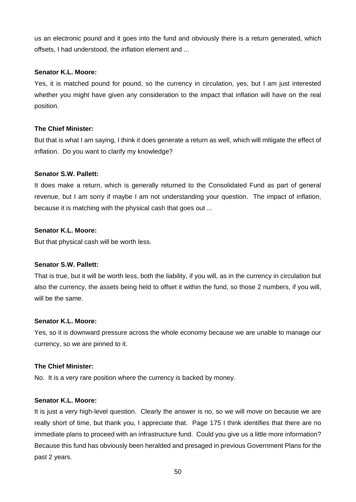us an electronic pound and it goes into the fund and obviously there is a return generated, which offsets, I had understood, the inflation element and ...

# **Senator K.L. Moore:**

Yes, it is matched pound for pound, so the currency in circulation, yes, but I am just interested whether you might have given any consideration to the impact that inflation will have on the real position.

# **The Chief Minister:**

But that is what I am saying, I think it does generate a return as well, which will mitigate the effect of inflation. Do you want to clarify my knowledge?

# **Senator S.W. Pallett:**

It does make a return, which is generally returned to the Consolidated Fund as part of general revenue, but I am sorry if maybe I am not understanding your question. The impact of inflation, because it is matching with the physical cash that goes out ...

# **Senator K.L. Moore:**

But that physical cash will be worth less.

## **Senator S.W. Pallett:**

That is true, but it will be worth less, both the liability, if you will, as in the currency in circulation but also the currency, the assets being held to offset it within the fund, so those 2 numbers, if you will, will be the same.

## **Senator K.L. Moore:**

Yes, so it is downward pressure across the whole economy because we are unable to manage our currency, so we are pinned to it.

## **The Chief Minister:**

No. It is a very rare position where the currency is backed by money.

## **Senator K.L. Moore:**

It is just a very high-level question. Clearly the answer is no, so we will move on because we are really short of time, but thank you, I appreciate that. Page 175 I think identifies that there are no immediate plans to proceed with an infrastructure fund. Could you give us a little more information? Because this fund has obviously been heralded and presaged in previous Government Plans for the past 2 years.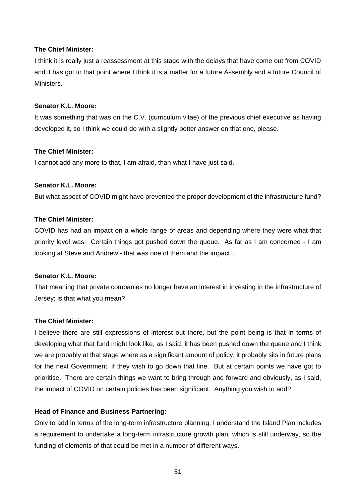## **The Chief Minister:**

I think it is really just a reassessment at this stage with the delays that have come out from COVID and it has got to that point where I think it is a matter for a future Assembly and a future Council of Ministers.

## **Senator K.L. Moore:**

It was something that was on the C.V. (curriculum vitae) of the previous chief executive as having developed it, so I think we could do with a slightly better answer on that one, please.

## **The Chief Minister:**

I cannot add any more to that, I am afraid, than what I have just said.

## **Senator K.L. Moore:**

But what aspect of COVID might have prevented the proper development of the infrastructure fund?

# **The Chief Minister:**

COVID has had an impact on a whole range of areas and depending where they were what that priority level was. Certain things got pushed down the queue. As far as I am concerned - I am looking at Steve and Andrew - that was one of them and the impact ...

## **Senator K.L. Moore:**

That meaning that private companies no longer have an interest in investing in the infrastructure of Jersey; is that what you mean?

#### **The Chief Minister:**

I believe there are still expressions of interest out there, but the point being is that in terms of developing what that fund might look like, as I said, it has been pushed down the queue and I think we are probably at that stage where as a significant amount of policy, it probably sits in future plans for the next Government, if they wish to go down that line. But at certain points we have got to prioritise. There are certain things we want to bring through and forward and obviously, as I said, the impact of COVID on certain policies has been significant. Anything you wish to add?

#### **Head of Finance and Business Partnering:**

Only to add in terms of the long-term infrastructure planning, I understand the Island Plan includes a requirement to undertake a long-term infrastructure growth plan, which is still underway, so the funding of elements of that could be met in a number of different ways.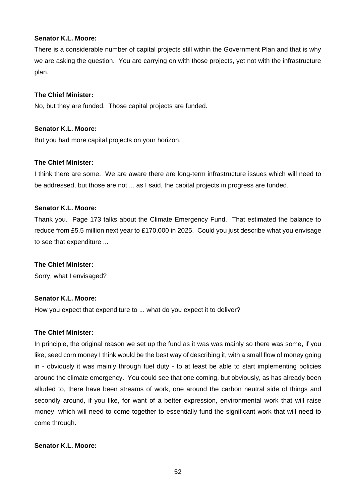## **Senator K.L. Moore:**

There is a considerable number of capital projects still within the Government Plan and that is why we are asking the question. You are carrying on with those projects, yet not with the infrastructure plan.

# **The Chief Minister:**

No, but they are funded. Those capital projects are funded.

# **Senator K.L. Moore:**

But you had more capital projects on your horizon.

# **The Chief Minister:**

I think there are some. We are aware there are long-term infrastructure issues which will need to be addressed, but those are not ... as I said, the capital projects in progress are funded.

# **Senator K.L. Moore:**

Thank you. Page 173 talks about the Climate Emergency Fund. That estimated the balance to reduce from £5.5 million next year to £170,000 in 2025. Could you just describe what you envisage to see that expenditure ...

# **The Chief Minister:**

Sorry, what I envisaged?

# **Senator K.L. Moore:**

How you expect that expenditure to ... what do you expect it to deliver?

# **The Chief Minister:**

In principle, the original reason we set up the fund as it was was mainly so there was some, if you like, seed corn money I think would be the best way of describing it, with a small flow of money going in - obviously it was mainly through fuel duty - to at least be able to start implementing policies around the climate emergency. You could see that one coming, but obviously, as has already been alluded to, there have been streams of work, one around the carbon neutral side of things and secondly around, if you like, for want of a better expression, environmental work that will raise money, which will need to come together to essentially fund the significant work that will need to come through.

# **Senator K.L. Moore:**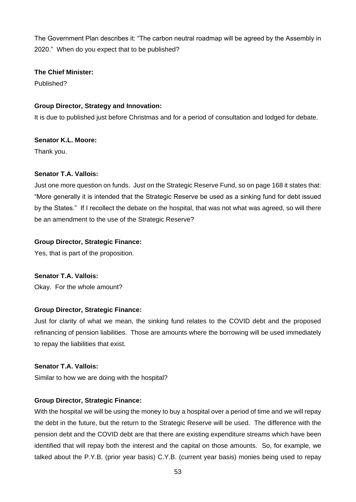The Government Plan describes it: "The carbon neutral roadmap will be agreed by the Assembly in 2020." When do you expect that to be published?

#### **The Chief Minister:**

Published?

#### **Group Director, Strategy and Innovation:**

It is due to published just before Christmas and for a period of consultation and lodged for debate.

## **Senator K.L. Moore:**

Thank you.

## **Senator T.A. Vallois:**

Just one more question on funds. Just on the Strategic Reserve Fund, so on page 168 it states that: "More generally it is intended that the Strategic Reserve be used as a sinking fund for debt issued by the States." If I recollect the debate on the hospital, that was not what was agreed, so will there be an amendment to the use of the Strategic Reserve?

#### **Group Director, Strategic Finance:**

Yes, that is part of the proposition.

## **Senator T.A. Vallois:**

Okay. For the whole amount?

## **Group Director, Strategic Finance:**

Just for clarity of what we mean, the sinking fund relates to the COVID debt and the proposed refinancing of pension liabilities. Those are amounts where the borrowing will be used immediately to repay the liabilities that exist.

# **Senator T.A. Vallois:**

Similar to how we are doing with the hospital?

## **Group Director, Strategic Finance:**

With the hospital we will be using the money to buy a hospital over a period of time and we will repay the debt in the future, but the return to the Strategic Reserve will be used. The difference with the pension debt and the COVID debt are that there are existing expenditure streams which have been identified that will repay both the interest and the capital on those amounts. So, for example, we talked about the P.Y.B. (prior year basis) C.Y.B. (current year basis) monies being used to repay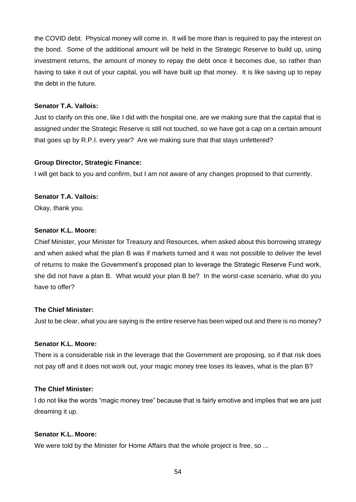the COVID debt. Physical money will come in. It will be more than is required to pay the interest on the bond. Some of the additional amount will be held in the Strategic Reserve to build up, using investment returns, the amount of money to repay the debt once it becomes due, so rather than having to take it out of your capital, you will have built up that money. It is like saving up to repay the debt in the future.

# **Senator T.A. Vallois:**

Just to clarify on this one, like I did with the hospital one, are we making sure that the capital that is assigned under the Strategic Reserve is still not touched, so we have got a cap on a certain amount that goes up by R.P.I. every year? Are we making sure that that stays unfettered?

# **Group Director, Strategic Finance:**

I will get back to you and confirm, but I am not aware of any changes proposed to that currently.

# **Senator T.A. Vallois:**

Okay, thank you.

# **Senator K.L. Moore:**

Chief Minister, your Minister for Treasury and Resources, when asked about this borrowing strategy and when asked what the plan B was if markets turned and it was not possible to deliver the level of returns to make the Government's proposed plan to leverage the Strategic Reserve Fund work, she did not have a plan B. What would your plan B be? In the worst-case scenario, what do you have to offer?

# **The Chief Minister:**

Just to be clear, what you are saying is the entire reserve has been wiped out and there is no money?

# **Senator K.L. Moore:**

There is a considerable risk in the leverage that the Government are proposing, so if that risk does not pay off and it does not work out, your magic money tree loses its leaves, what is the plan B?

# **The Chief Minister:**

I do not like the words "magic money tree" because that is fairly emotive and implies that we are just dreaming it up.

# **Senator K.L. Moore:**

We were told by the Minister for Home Affairs that the whole project is free, so ...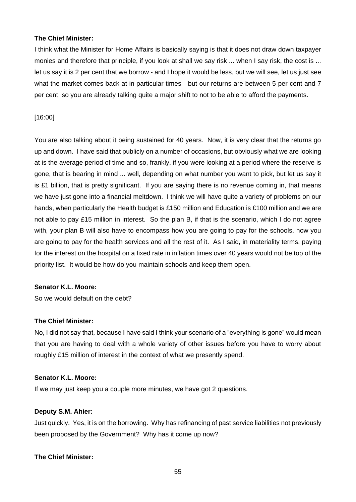## **The Chief Minister:**

I think what the Minister for Home Affairs is basically saying is that it does not draw down taxpayer monies and therefore that principle, if you look at shall we say risk ... when I say risk, the cost is ... let us say it is 2 per cent that we borrow - and I hope it would be less, but we will see, let us just see what the market comes back at in particular times - but our returns are between 5 per cent and 7 per cent, so you are already talking quite a major shift to not to be able to afford the payments.

# [16:00]

You are also talking about it being sustained for 40 years. Now, it is very clear that the returns go up and down. I have said that publicly on a number of occasions, but obviously what we are looking at is the average period of time and so, frankly, if you were looking at a period where the reserve is gone, that is bearing in mind ... well, depending on what number you want to pick, but let us say it is £1 billion, that is pretty significant. If you are saying there is no revenue coming in, that means we have just gone into a financial meltdown. I think we will have quite a variety of problems on our hands, when particularly the Health budget is £150 million and Education is £100 million and we are not able to pay £15 million in interest. So the plan B, if that is the scenario, which I do not agree with, your plan B will also have to encompass how you are going to pay for the schools, how you are going to pay for the health services and all the rest of it. As I said, in materiality terms, paying for the interest on the hospital on a fixed rate in inflation times over 40 years would not be top of the priority list. It would be how do you maintain schools and keep them open.

## **Senator K.L. Moore:**

So we would default on the debt?

## **The Chief Minister:**

No, I did not say that, because I have said I think your scenario of a "everything is gone" would mean that you are having to deal with a whole variety of other issues before you have to worry about roughly £15 million of interest in the context of what we presently spend.

# **Senator K.L. Moore:**

If we may just keep you a couple more minutes, we have got 2 questions.

## **Deputy S.M. Ahier:**

Just quickly. Yes, it is on the borrowing. Why has refinancing of past service liabilities not previously been proposed by the Government? Why has it come up now?

# **The Chief Minister:**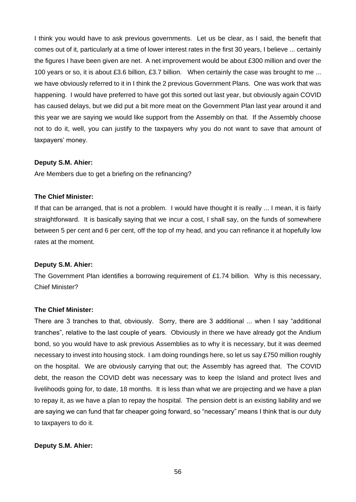I think you would have to ask previous governments. Let us be clear, as I said, the benefit that comes out of it, particularly at a time of lower interest rates in the first 30 years, I believe ... certainly the figures I have been given are net. A net improvement would be about £300 million and over the 100 years or so, it is about £3.6 billion, £3.7 billion. When certainly the case was brought to me ... we have obviously referred to it in I think the 2 previous Government Plans. One was work that was happening. I would have preferred to have got this sorted out last year, but obviously again COVID has caused delays, but we did put a bit more meat on the Government Plan last year around it and this year we are saying we would like support from the Assembly on that. If the Assembly choose not to do it, well, you can justify to the taxpayers why you do not want to save that amount of taxpayers' money.

#### **Deputy S.M. Ahier:**

Are Members due to get a briefing on the refinancing?

#### **The Chief Minister:**

If that can be arranged, that is not a problem. I would have thought it is really ... I mean, it is fairly straightforward. It is basically saying that we incur a cost, I shall say, on the funds of somewhere between 5 per cent and 6 per cent, off the top of my head, and you can refinance it at hopefully low rates at the moment.

## **Deputy S.M. Ahier:**

The Government Plan identifies a borrowing requirement of £1.74 billion. Why is this necessary, Chief Minister?

### **The Chief Minister:**

There are 3 tranches to that, obviously. Sorry, there are 3 additional ... when I say "additional tranches", relative to the last couple of years. Obviously in there we have already got the Andium bond, so you would have to ask previous Assemblies as to why it is necessary, but it was deemed necessary to invest into housing stock. I am doing roundings here, so let us say £750 million roughly on the hospital. We are obviously carrying that out; the Assembly has agreed that. The COVID debt, the reason the COVID debt was necessary was to keep the Island and protect lives and livelihoods going for, to date, 18 months. It is less than what we are projecting and we have a plan to repay it, as we have a plan to repay the hospital. The pension debt is an existing liability and we are saying we can fund that far cheaper going forward, so "necessary" means I think that is our duty to taxpayers to do it.

# **Deputy S.M. Ahier:**